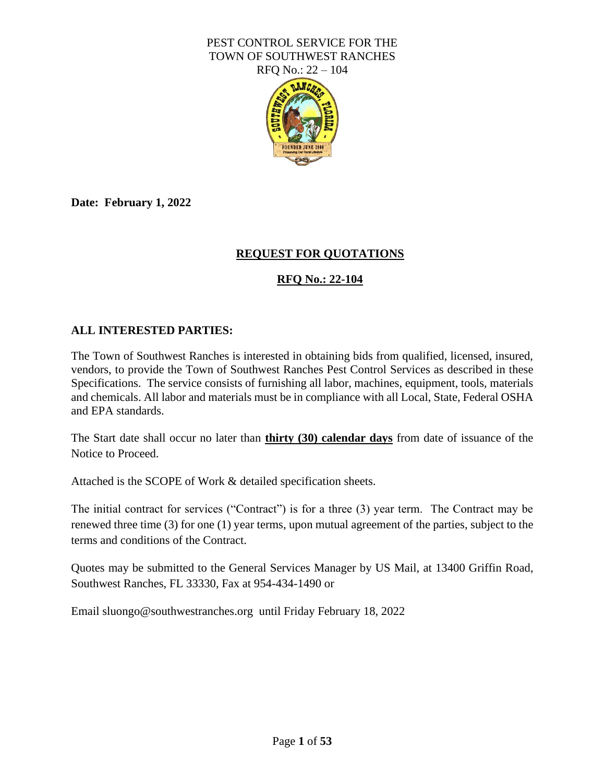

**Date: February 1, 2022**

# **REQUEST FOR QUOTATIONS**

# **RFQ No.: 22-104**

#### **ALL INTERESTED PARTIES:**

The Town of Southwest Ranches is interested in obtaining bids from qualified, licensed, insured, vendors, to provide the Town of Southwest Ranches Pest Control Services as described in these Specifications. The service consists of furnishing all labor, machines, equipment, tools, materials and chemicals. All labor and materials must be in compliance with all Local, State, Federal OSHA and EPA standards.

The Start date shall occur no later than **thirty (30) calendar days** from date of issuance of the Notice to Proceed.

Attached is the SCOPE of Work & detailed specification sheets.

The initial contract for services ("Contract") is for a three (3) year term. The Contract may be renewed three time (3) for one (1) year terms, upon mutual agreement of the parties, subject to the terms and conditions of the Contract.

Quotes may be submitted to the General Services Manager by US Mail, at 13400 Griffin Road, Southwest Ranches, FL 33330, Fax at 954-434-1490 or

Email sluongo@southwestranches.org until Friday February 18, 2022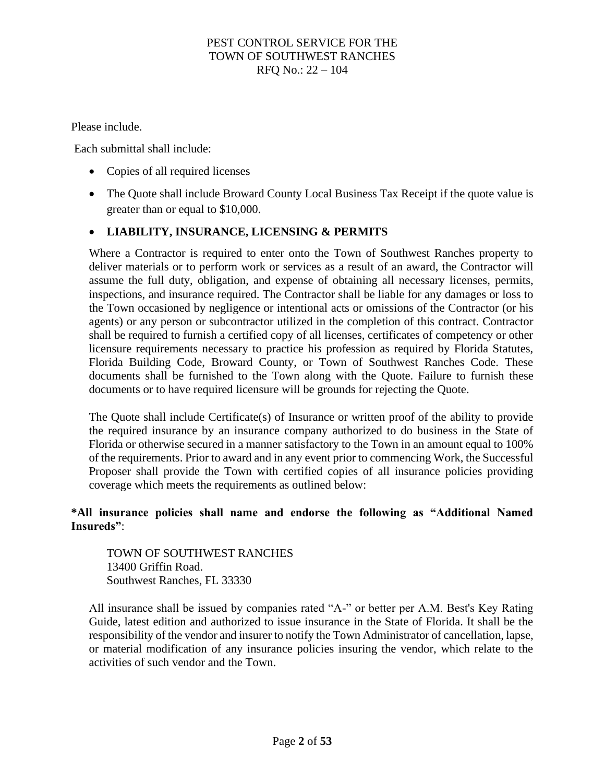Please include.

Each submittal shall include:

- Copies of all required licenses
- The Quote shall include Broward County Local Business Tax Receipt if the quote value is greater than or equal to \$10,000.

## • **LIABILITY, INSURANCE, LICENSING & PERMITS**

Where a Contractor is required to enter onto the Town of Southwest Ranches property to deliver materials or to perform work or services as a result of an award, the Contractor will assume the full duty, obligation, and expense of obtaining all necessary licenses, permits, inspections, and insurance required. The Contractor shall be liable for any damages or loss to the Town occasioned by negligence or intentional acts or omissions of the Contractor (or his agents) or any person or subcontractor utilized in the completion of this contract. Contractor shall be required to furnish a certified copy of all licenses, certificates of competency or other licensure requirements necessary to practice his profession as required by Florida Statutes, Florida Building Code, Broward County, or Town of Southwest Ranches Code. These documents shall be furnished to the Town along with the Quote. Failure to furnish these documents or to have required licensure will be grounds for rejecting the Quote.

The Quote shall include Certificate(s) of Insurance or written proof of the ability to provide the required insurance by an insurance company authorized to do business in the State of Florida or otherwise secured in a manner satisfactory to the Town in an amount equal to 100% of the requirements. Prior to award and in any event prior to commencing Work, the Successful Proposer shall provide the Town with certified copies of all insurance policies providing coverage which meets the requirements as outlined below:

#### **\*All insurance policies shall name and endorse the following as "Additional Named Insureds"**:

TOWN OF SOUTHWEST RANCHES 13400 Griffin Road. Southwest Ranches, FL 33330

All insurance shall be issued by companies rated "A-" or better per A.M. Best's Key Rating Guide, latest edition and authorized to issue insurance in the State of Florida. It shall be the responsibility of the vendor and insurer to notify the Town Administrator of cancellation, lapse, or material modification of any insurance policies insuring the vendor, which relate to the activities of such vendor and the Town.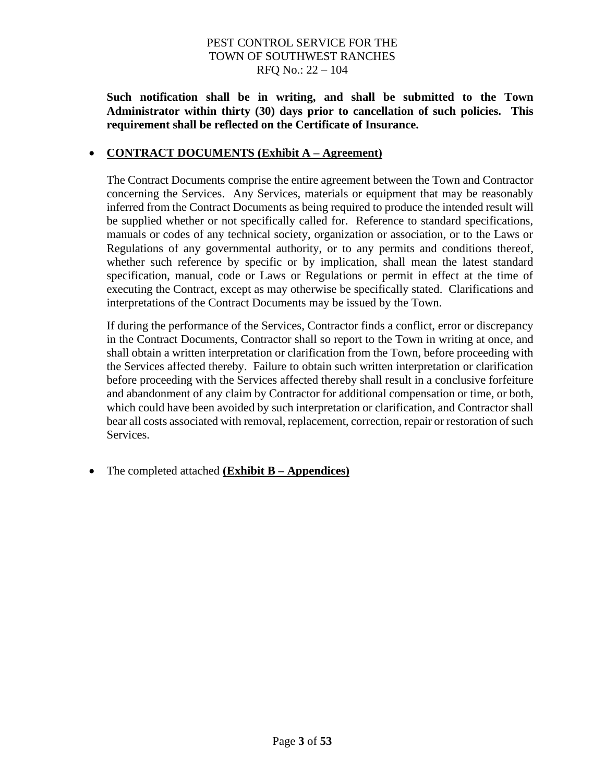**Such notification shall be in writing, and shall be submitted to the Town Administrator within thirty (30) days prior to cancellation of such policies. This requirement shall be reflected on the Certificate of Insurance.**

## • **CONTRACT DOCUMENTS (Exhibit A – Agreement)**

The Contract Documents comprise the entire agreement between the Town and Contractor concerning the Services. Any Services, materials or equipment that may be reasonably inferred from the Contract Documents as being required to produce the intended result will be supplied whether or not specifically called for. Reference to standard specifications, manuals or codes of any technical society, organization or association, or to the Laws or Regulations of any governmental authority, or to any permits and conditions thereof, whether such reference by specific or by implication, shall mean the latest standard specification, manual, code or Laws or Regulations or permit in effect at the time of executing the Contract, except as may otherwise be specifically stated. Clarifications and interpretations of the Contract Documents may be issued by the Town.

If during the performance of the Services, Contractor finds a conflict, error or discrepancy in the Contract Documents, Contractor shall so report to the Town in writing at once, and shall obtain a written interpretation or clarification from the Town, before proceeding with the Services affected thereby. Failure to obtain such written interpretation or clarification before proceeding with the Services affected thereby shall result in a conclusive forfeiture and abandonment of any claim by Contractor for additional compensation or time, or both, which could have been avoided by such interpretation or clarification, and Contractor shall bear all costs associated with removal, replacement, correction, repair or restoration of such Services.

• The completed attached **(Exhibit B – Appendices)**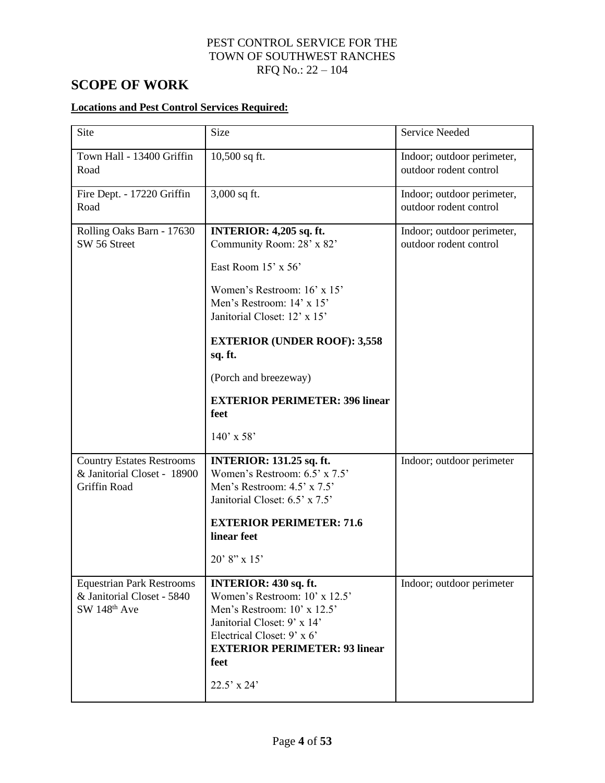# **SCOPE OF WORK**

## **Locations and Pest Control Services Required:**

| Site                                                                                       | Size                                                                                                                                                                                                                       | <b>Service Needed</b>                                |
|--------------------------------------------------------------------------------------------|----------------------------------------------------------------------------------------------------------------------------------------------------------------------------------------------------------------------------|------------------------------------------------------|
| Town Hall - 13400 Griffin<br>Road                                                          | 10,500 sq ft.                                                                                                                                                                                                              | Indoor; outdoor perimeter,<br>outdoor rodent control |
| Fire Dept. - 17220 Griffin<br>Road                                                         | 3,000 sq ft.                                                                                                                                                                                                               | Indoor; outdoor perimeter,<br>outdoor rodent control |
| Rolling Oaks Barn - 17630<br>SW 56 Street                                                  | <b>INTERIOR: 4,205 sq. ft.</b><br>Community Room: 28' x 82'                                                                                                                                                                | Indoor; outdoor perimeter,<br>outdoor rodent control |
|                                                                                            | East Room 15' x 56'                                                                                                                                                                                                        |                                                      |
|                                                                                            | Women's Restroom: 16' x 15'<br>Men's Restroom: 14' x 15'<br>Janitorial Closet: 12' x 15'                                                                                                                                   |                                                      |
|                                                                                            | <b>EXTERIOR (UNDER ROOF): 3,558</b><br>sq. ft.                                                                                                                                                                             |                                                      |
|                                                                                            | (Porch and breezeway)                                                                                                                                                                                                      |                                                      |
|                                                                                            | <b>EXTERIOR PERIMETER: 396 linear</b><br>feet                                                                                                                                                                              |                                                      |
|                                                                                            | $140'$ x 58'                                                                                                                                                                                                               |                                                      |
| <b>Country Estates Restrooms</b><br>& Janitorial Closet - 18900<br>Griffin Road            | <b>INTERIOR: 131.25 sq. ft.</b><br>Women's Restroom: 6.5' x 7.5'<br>Men's Restroom: 4.5' x 7.5'<br>Janitorial Closet: 6.5' x 7.5'                                                                                          | Indoor; outdoor perimeter                            |
|                                                                                            | <b>EXTERIOR PERIMETER: 71.6</b><br>linear feet                                                                                                                                                                             |                                                      |
|                                                                                            | $20' 8''$ x 15'                                                                                                                                                                                                            |                                                      |
| <b>Equestrian Park Restrooms</b><br>& Janitorial Closet - 5840<br>SW 148 <sup>th</sup> Ave | <b>INTERIOR: 430 sq. ft.</b><br>Women's Restroom: 10' x 12.5'<br>Men's Restroom: 10' x 12.5'<br>Janitorial Closet: 9' x 14'<br>Electrical Closet: 9' x 6'<br><b>EXTERIOR PERIMETER: 93 linear</b><br>feet<br>$22.5'$ x 24' | Indoor; outdoor perimeter                            |
|                                                                                            |                                                                                                                                                                                                                            |                                                      |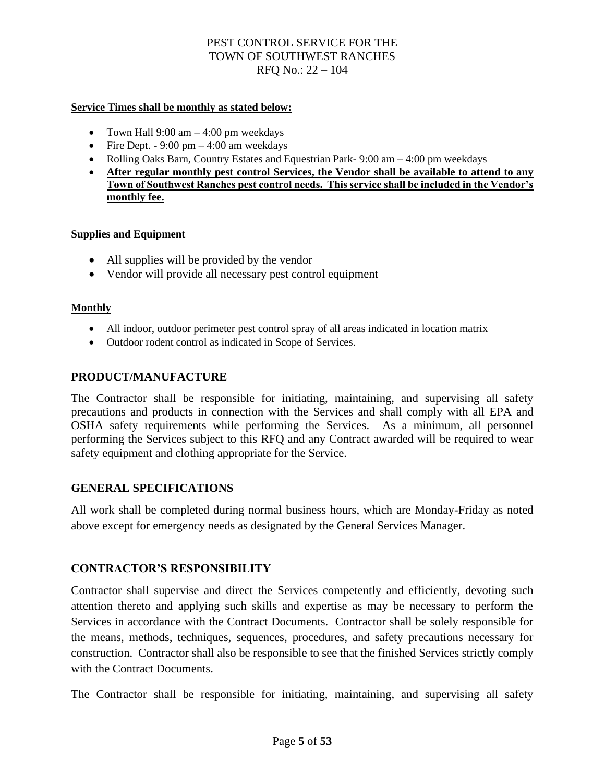#### **Service Times shall be monthly as stated below:**

- Town Hall  $9:00 \text{ am} 4:00 \text{ pm}$  weekdays
- Fire Dept.  $-9:00 \text{ pm} 4:00 \text{ am weekdays}$
- Rolling Oaks Barn, Country Estates and Equestrian Park- 9:00 am 4:00 pm weekdays
- **After regular monthly pest control Services, the Vendor shall be available to attend to any Town of Southwest Ranches pest control needs. This service shall be included in the Vendor's monthly fee.**

#### **Supplies and Equipment**

- All supplies will be provided by the vendor
- Vendor will provide all necessary pest control equipment

#### **Monthly**

- All indoor, outdoor perimeter pest control spray of all areas indicated in location matrix
- Outdoor rodent control as indicated in Scope of Services.

#### **PRODUCT/MANUFACTURE**

The Contractor shall be responsible for initiating, maintaining, and supervising all safety precautions and products in connection with the Services and shall comply with all EPA and OSHA safety requirements while performing the Services. As a minimum, all personnel performing the Services subject to this RFQ and any Contract awarded will be required to wear safety equipment and clothing appropriate for the Service.

#### **GENERAL SPECIFICATIONS**

All work shall be completed during normal business hours, which are Monday-Friday as noted above except for emergency needs as designated by the General Services Manager.

## **CONTRACTOR'S RESPONSIBILITY**

Contractor shall supervise and direct the Services competently and efficiently, devoting such attention thereto and applying such skills and expertise as may be necessary to perform the Services in accordance with the Contract Documents. Contractor shall be solely responsible for the means, methods, techniques, sequences, procedures, and safety precautions necessary for construction. Contractor shall also be responsible to see that the finished Services strictly comply with the Contract Documents.

The Contractor shall be responsible for initiating, maintaining, and supervising all safety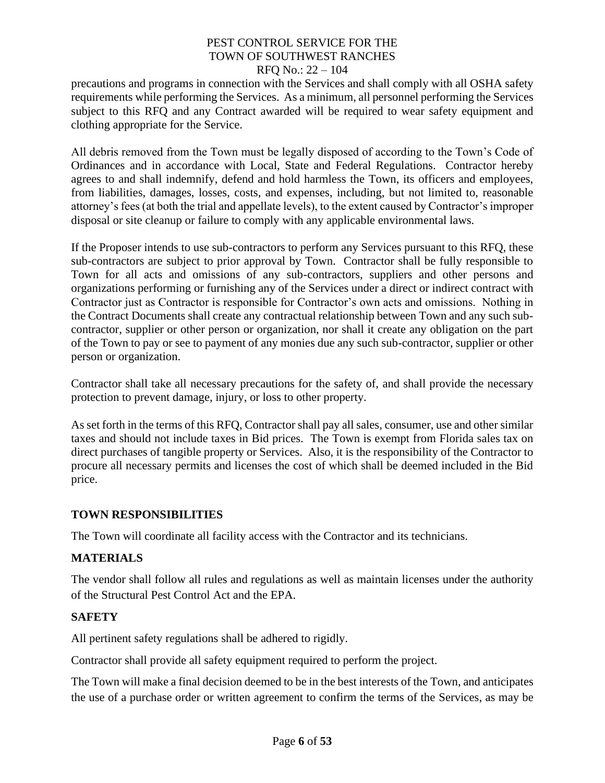precautions and programs in connection with the Services and shall comply with all OSHA safety requirements while performing the Services. As a minimum, all personnel performing the Services subject to this RFQ and any Contract awarded will be required to wear safety equipment and clothing appropriate for the Service.

All debris removed from the Town must be legally disposed of according to the Town's Code of Ordinances and in accordance with Local, State and Federal Regulations. Contractor hereby agrees to and shall indemnify, defend and hold harmless the Town, its officers and employees, from liabilities, damages, losses, costs, and expenses, including, but not limited to, reasonable attorney's fees (at both the trial and appellate levels), to the extent caused by Contractor's improper disposal or site cleanup or failure to comply with any applicable environmental laws.

If the Proposer intends to use sub-contractors to perform any Services pursuant to this RFQ, these sub-contractors are subject to prior approval by Town. Contractor shall be fully responsible to Town for all acts and omissions of any sub-contractors, suppliers and other persons and organizations performing or furnishing any of the Services under a direct or indirect contract with Contractor just as Contractor is responsible for Contractor's own acts and omissions. Nothing in the Contract Documents shall create any contractual relationship between Town and any such subcontractor, supplier or other person or organization, nor shall it create any obligation on the part of the Town to pay or see to payment of any monies due any such sub-contractor, supplier or other person or organization.

Contractor shall take all necessary precautions for the safety of, and shall provide the necessary protection to prevent damage, injury, or loss to other property.

As set forth in the terms of this RFQ, Contractor shall pay all sales, consumer, use and other similar taxes and should not include taxes in Bid prices. The Town is exempt from Florida sales tax on direct purchases of tangible property or Services. Also, it is the responsibility of the Contractor to procure all necessary permits and licenses the cost of which shall be deemed included in the Bid price.

## **TOWN RESPONSIBILITIES**

The Town will coordinate all facility access with the Contractor and its technicians.

## **MATERIALS**

The vendor shall follow all rules and regulations as well as maintain licenses under the authority of the Structural Pest Control Act and the EPA.

## **SAFETY**

All pertinent safety regulations shall be adhered to rigidly.

Contractor shall provide all safety equipment required to perform the project.

The Town will make a final decision deemed to be in the best interests of the Town, and anticipates the use of a purchase order or written agreement to confirm the terms of the Services, as may be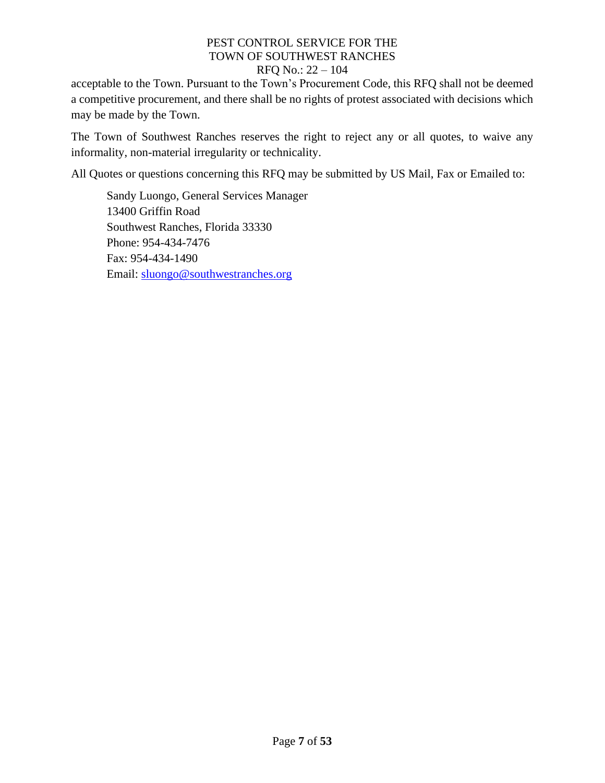acceptable to the Town. Pursuant to the Town's Procurement Code, this RFQ shall not be deemed a competitive procurement, and there shall be no rights of protest associated with decisions which may be made by the Town.

The Town of Southwest Ranches reserves the right to reject any or all quotes, to waive any informality, non-material irregularity or technicality.

All Quotes or questions concerning this RFQ may be submitted by US Mail, Fax or Emailed to:

Sandy Luongo, General Services Manager 13400 Griffin Road Southwest Ranches, Florida 33330 Phone: 954-434-7476 Fax: 954-434-1490 Email: [sluongo@southwestranches.org](mailto:sluongo@southwestranches.org)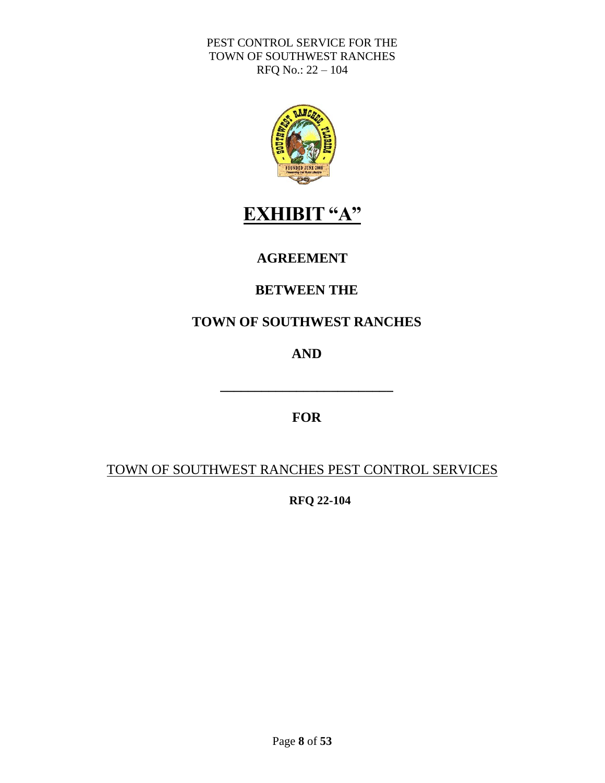

# **EXHIBIT "A"**

# **AGREEMENT**

# **BETWEEN THE**

# **TOWN OF SOUTHWEST RANCHES**

# **AND**

# **FOR**

**\_\_\_\_\_\_\_\_\_\_\_\_\_\_\_\_\_\_\_\_\_\_\_\_\_**

# TOWN OF SOUTHWEST RANCHES PEST CONTROL SERVICES

**RFQ 22-104**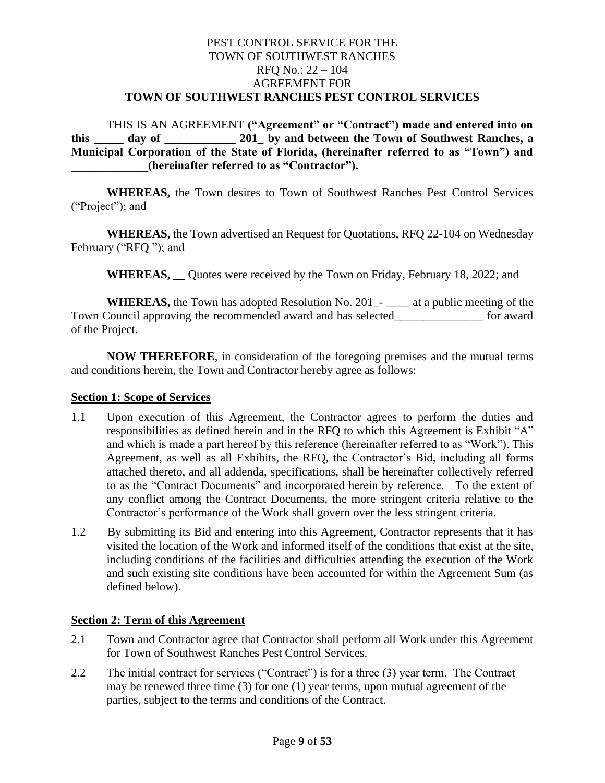## PEST CONTROL SERVICE FOR THE TOWN OF SOUTHWEST RANCHES RFQ No.: 22 – 104 AGREEMENT FOR **TOWN OF SOUTHWEST RANCHES PEST CONTROL SERVICES**

THIS IS AN AGREEMENT **("Agreement" or "Contract") made and entered into on this \_\_\_\_\_ day of \_\_\_\_\_\_\_\_\_\_\_\_ 201\_ by and between the Town of Southwest Ranches, a Municipal Corporation of the State of Florida, (hereinafter referred to as "Town") and \_\_\_\_\_\_\_\_\_\_\_\_\_(hereinafter referred to as "Contractor").**

**WHEREAS,** the Town desires to Town of Southwest Ranches Pest Control Services ("Project"); and

**WHEREAS,** the Town advertised an Request for Quotations, RFQ 22-104 on Wednesday February ("RFQ "); and

**WHEREAS, \_\_** Quotes were received by the Town on Friday, February 18, 2022; and

**WHEREAS,** the Town has adopted Resolution No. 201\_- \_\_\_\_ at a public meeting of the Town Council approving the recommended award and has selected\_\_\_\_\_\_\_\_\_\_\_\_\_\_\_ for award of the Project.

**NOW THEREFORE**, in consideration of the foregoing premises and the mutual terms and conditions herein, the Town and Contractor hereby agree as follows:

#### **Section 1: Scope of Services**

- 1.1 Upon execution of this Agreement, the Contractor agrees to perform the duties and responsibilities as defined herein and in the RFQ to which this Agreement is Exhibit "A" and which is made a part hereof by this reference (hereinafter referred to as "Work"). This Agreement, as well as all Exhibits, the RFQ, the Contractor's Bid, including all forms attached thereto, and all addenda, specifications, shall be hereinafter collectively referred to as the "Contract Documents" and incorporated herein by reference. To the extent of any conflict among the Contract Documents, the more stringent criteria relative to the Contractor's performance of the Work shall govern over the less stringent criteria.
- 1.2 By submitting its Bid and entering into this Agreement, Contractor represents that it has visited the location of the Work and informed itself of the conditions that exist at the site, including conditions of the facilities and difficulties attending the execution of the Work and such existing site conditions have been accounted for within the Agreement Sum (as defined below).

#### **Section 2: Term of this Agreement**

- 2.1 Town and Contractor agree that Contractor shall perform all Work under this Agreement for Town of Southwest Ranches Pest Control Services.
- 2.2 The initial contract for services ("Contract") is for a three (3) year term. The Contract may be renewed three time (3) for one (1) year terms, upon mutual agreement of the parties, subject to the terms and conditions of the Contract.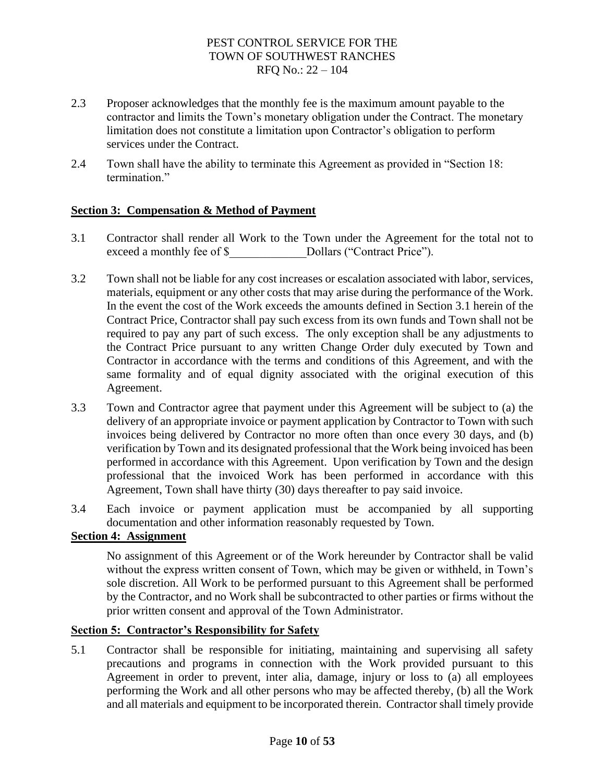- 2.3 Proposer acknowledges that the monthly fee is the maximum amount payable to the contractor and limits the Town's monetary obligation under the Contract. The monetary limitation does not constitute a limitation upon Contractor's obligation to perform services under the Contract.
- 2.4 Town shall have the ability to terminate this Agreement as provided in "Section 18: termination."

#### **Section 3: Compensation & Method of Payment**

- 3.1 Contractor shall render all Work to the Town under the Agreement for the total not to exceed a monthly fee of \$ Dollars ("Contract Price").
- 3.2 Town shall not be liable for any cost increases or escalation associated with labor, services, materials, equipment or any other costs that may arise during the performance of the Work. In the event the cost of the Work exceeds the amounts defined in Section 3.1 herein of the Contract Price, Contractor shall pay such excess from its own funds and Town shall not be required to pay any part of such excess. The only exception shall be any adjustments to the Contract Price pursuant to any written Change Order duly executed by Town and Contractor in accordance with the terms and conditions of this Agreement, and with the same formality and of equal dignity associated with the original execution of this Agreement.
- 3.3 Town and Contractor agree that payment under this Agreement will be subject to (a) the delivery of an appropriate invoice or payment application by Contractor to Town with such invoices being delivered by Contractor no more often than once every 30 days, and (b) verification by Town and its designated professional that the Work being invoiced has been performed in accordance with this Agreement. Upon verification by Town and the design professional that the invoiced Work has been performed in accordance with this Agreement, Town shall have thirty (30) days thereafter to pay said invoice.
- 3.4 Each invoice or payment application must be accompanied by all supporting documentation and other information reasonably requested by Town.

#### **Section 4: Assignment**

No assignment of this Agreement or of the Work hereunder by Contractor shall be valid without the express written consent of Town, which may be given or withheld, in Town's sole discretion. All Work to be performed pursuant to this Agreement shall be performed by the Contractor, and no Work shall be subcontracted to other parties or firms without the prior written consent and approval of the Town Administrator.

#### **Section 5: Contractor's Responsibility for Safety**

5.1 Contractor shall be responsible for initiating, maintaining and supervising all safety precautions and programs in connection with the Work provided pursuant to this Agreement in order to prevent, inter alia, damage, injury or loss to (a) all employees performing the Work and all other persons who may be affected thereby, (b) all the Work and all materials and equipment to be incorporated therein. Contractor shall timely provide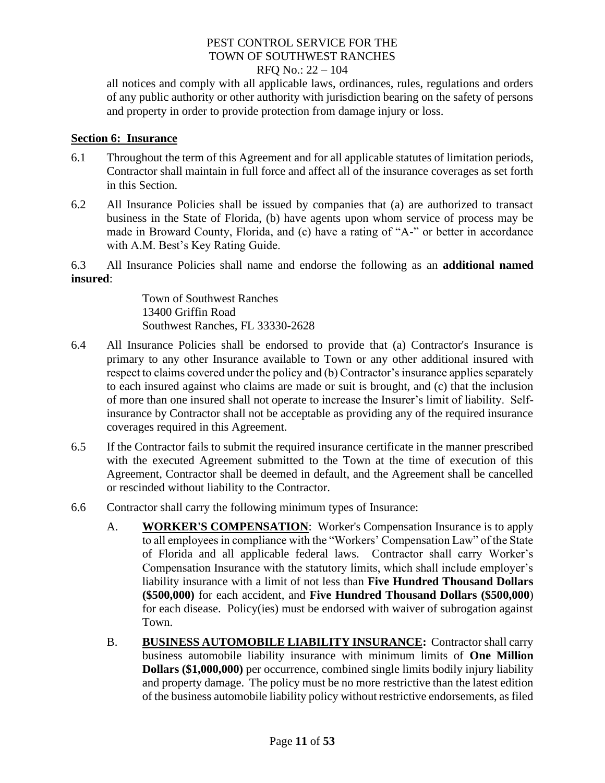# PEST CONTROL SERVICE FOR THE TOWN OF SOUTHWEST RANCHES

#### RFQ No.: 22 – 104

all notices and comply with all applicable laws, ordinances, rules, regulations and orders of any public authority or other authority with jurisdiction bearing on the safety of persons and property in order to provide protection from damage injury or loss.

#### **Section 6: Insurance**

- 6.1 Throughout the term of this Agreement and for all applicable statutes of limitation periods, Contractor shall maintain in full force and affect all of the insurance coverages as set forth in this Section.
- 6.2 All Insurance Policies shall be issued by companies that (a) are authorized to transact business in the State of Florida, (b) have agents upon whom service of process may be made in Broward County, Florida, and (c) have a rating of "A-" or better in accordance with A.M. Best's Key Rating Guide.

6.3 All Insurance Policies shall name and endorse the following as an **additional named insured**:

> Town of Southwest Ranches 13400 Griffin Road Southwest Ranches, FL 33330-2628

- 6.4 All Insurance Policies shall be endorsed to provide that (a) Contractor's Insurance is primary to any other Insurance available to Town or any other additional insured with respect to claims covered under the policy and (b) Contractor's insurance applies separately to each insured against who claims are made or suit is brought, and (c) that the inclusion of more than one insured shall not operate to increase the Insurer's limit of liability. Selfinsurance by Contractor shall not be acceptable as providing any of the required insurance coverages required in this Agreement.
- 6.5 If the Contractor fails to submit the required insurance certificate in the manner prescribed with the executed Agreement submitted to the Town at the time of execution of this Agreement, Contractor shall be deemed in default, and the Agreement shall be cancelled or rescinded without liability to the Contractor.
- 6.6 Contractor shall carry the following minimum types of Insurance:
	- A. **WORKER'S COMPENSATION:** Worker's Compensation Insurance is to apply to all employees in compliance with the "Workers' Compensation Law" of the State of Florida and all applicable federal laws. Contractor shall carry Worker's Compensation Insurance with the statutory limits, which shall include employer's liability insurance with a limit of not less than **Five Hundred Thousand Dollars (\$500,000)** for each accident, and **Five Hundred Thousand Dollars (\$500,000**) for each disease. Policy(ies) must be endorsed with waiver of subrogation against Town.
	- B. **BUSINESS AUTOMOBILE LIABILITY INSURANCE:** Contractor shall carry business automobile liability insurance with minimum limits of **One Million Dollars (\$1,000,000)** per occurrence, combined single limits bodily injury liability and property damage. The policy must be no more restrictive than the latest edition of the business automobile liability policy without restrictive endorsements, as filed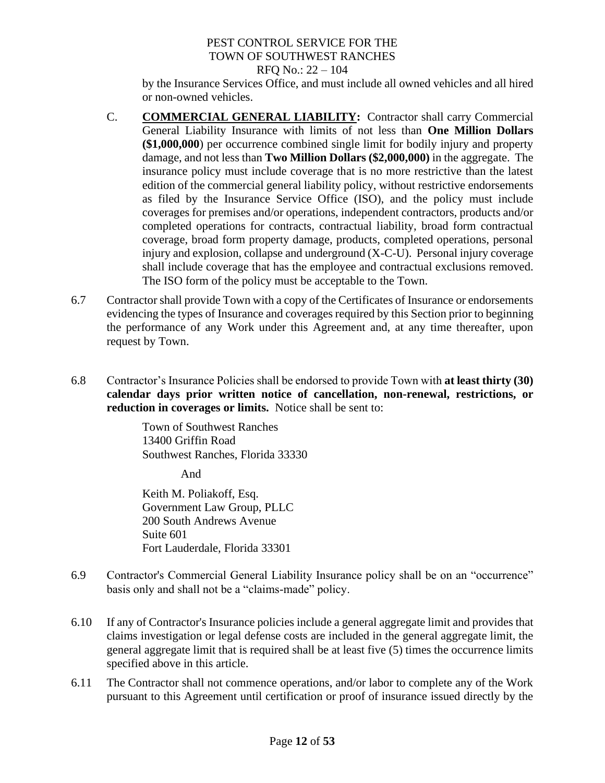by the Insurance Services Office, and must include all owned vehicles and all hired or non-owned vehicles.

- C. **COMMERCIAL GENERAL LIABILITY:** Contractor shall carry Commercial General Liability Insurance with limits of not less than **One Million Dollars (\$1,000,000**) per occurrence combined single limit for bodily injury and property damage, and not less than **Two Million Dollars (\$2,000,000)** in the aggregate. The insurance policy must include coverage that is no more restrictive than the latest edition of the commercial general liability policy, without restrictive endorsements as filed by the Insurance Service Office (ISO), and the policy must include coverages for premises and/or operations, independent contractors, products and/or completed operations for contracts, contractual liability, broad form contractual coverage, broad form property damage, products, completed operations, personal injury and explosion, collapse and underground (X-C-U). Personal injury coverage shall include coverage that has the employee and contractual exclusions removed. The ISO form of the policy must be acceptable to the Town.
- 6.7 Contractor shall provide Town with a copy of the Certificates of Insurance or endorsements evidencing the types of Insurance and coverages required by this Section prior to beginning the performance of any Work under this Agreement and, at any time thereafter, upon request by Town.
- 6.8 Contractor's Insurance Policies shall be endorsed to provide Town with **at least thirty (30) calendar days prior written notice of cancellation, non-renewal, restrictions, or reduction in coverages or limits.** Notice shall be sent to:

Town of Southwest Ranches 13400 Griffin Road Southwest Ranches, Florida 33330

And

Keith M. Poliakoff, Esq. Government Law Group, PLLC 200 South Andrews Avenue Suite 601 Fort Lauderdale, Florida 33301

- 6.9 Contractor's Commercial General Liability Insurance policy shall be on an "occurrence" basis only and shall not be a "claims-made" policy.
- 6.10 If any of Contractor's Insurance policies include a general aggregate limit and provides that claims investigation or legal defense costs are included in the general aggregate limit, the general aggregate limit that is required shall be at least five (5) times the occurrence limits specified above in this article.
- 6.11 The Contractor shall not commence operations, and/or labor to complete any of the Work pursuant to this Agreement until certification or proof of insurance issued directly by the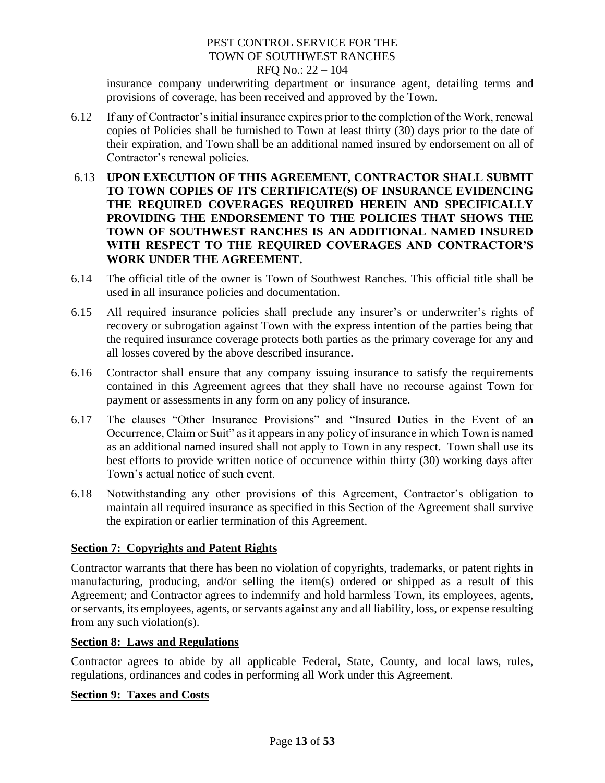# PEST CONTROL SERVICE FOR THE TOWN OF SOUTHWEST RANCHES

#### RFQ No.: 22 – 104

insurance company underwriting department or insurance agent, detailing terms and provisions of coverage, has been received and approved by the Town.

- 6.12 If any of Contractor's initial insurance expires prior to the completion of the Work, renewal copies of Policies shall be furnished to Town at least thirty (30) days prior to the date of their expiration, and Town shall be an additional named insured by endorsement on all of Contractor's renewal policies.
- 6.13 **UPON EXECUTION OF THIS AGREEMENT, CONTRACTOR SHALL SUBMIT TO TOWN COPIES OF ITS CERTIFICATE(S) OF INSURANCE EVIDENCING THE REQUIRED COVERAGES REQUIRED HEREIN AND SPECIFICALLY PROVIDING THE ENDORSEMENT TO THE POLICIES THAT SHOWS THE TOWN OF SOUTHWEST RANCHES IS AN ADDITIONAL NAMED INSURED WITH RESPECT TO THE REQUIRED COVERAGES AND CONTRACTOR'S WORK UNDER THE AGREEMENT.**
- 6.14 The official title of the owner is Town of Southwest Ranches. This official title shall be used in all insurance policies and documentation.
- 6.15 All required insurance policies shall preclude any insurer's or underwriter's rights of recovery or subrogation against Town with the express intention of the parties being that the required insurance coverage protects both parties as the primary coverage for any and all losses covered by the above described insurance.
- 6.16 Contractor shall ensure that any company issuing insurance to satisfy the requirements contained in this Agreement agrees that they shall have no recourse against Town for payment or assessments in any form on any policy of insurance.
- 6.17 The clauses "Other Insurance Provisions" and "Insured Duties in the Event of an Occurrence, Claim or Suit" as it appears in any policy of insurance in which Town is named as an additional named insured shall not apply to Town in any respect. Town shall use its best efforts to provide written notice of occurrence within thirty (30) working days after Town's actual notice of such event.
- 6.18 Notwithstanding any other provisions of this Agreement, Contractor's obligation to maintain all required insurance as specified in this Section of the Agreement shall survive the expiration or earlier termination of this Agreement.

## **Section 7: Copyrights and Patent Rights**

Contractor warrants that there has been no violation of copyrights, trademarks, or patent rights in manufacturing, producing, and/or selling the item(s) ordered or shipped as a result of this Agreement; and Contractor agrees to indemnify and hold harmless Town, its employees, agents, or servants, its employees, agents, or servants against any and all liability, loss, or expense resulting from any such violation(s).

#### **Section 8: Laws and Regulations**

Contractor agrees to abide by all applicable Federal, State, County, and local laws, rules, regulations, ordinances and codes in performing all Work under this Agreement.

#### **Section 9: Taxes and Costs**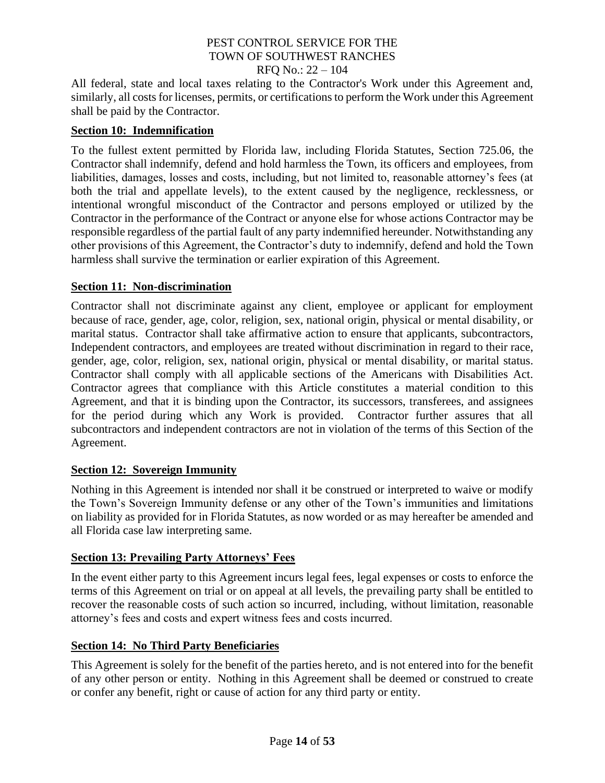All federal, state and local taxes relating to the Contractor's Work under this Agreement and, similarly, all costs for licenses, permits, or certifications to perform the Work under this Agreement shall be paid by the Contractor.

#### **Section 10: Indemnification**

To the fullest extent permitted by Florida law, including Florida Statutes, Section 725.06, the Contractor shall indemnify, defend and hold harmless the Town, its officers and employees, from liabilities, damages, losses and costs, including, but not limited to, reasonable attorney's fees (at both the trial and appellate levels), to the extent caused by the negligence, recklessness, or intentional wrongful misconduct of the Contractor and persons employed or utilized by the Contractor in the performance of the Contract or anyone else for whose actions Contractor may be responsible regardless of the partial fault of any party indemnified hereunder. Notwithstanding any other provisions of this Agreement, the Contractor's duty to indemnify, defend and hold the Town harmless shall survive the termination or earlier expiration of this Agreement.

#### **Section 11: Non-discrimination**

Contractor shall not discriminate against any client, employee or applicant for employment because of race, gender, age, color, religion, sex, national origin, physical or mental disability, or marital status. Contractor shall take affirmative action to ensure that applicants, subcontractors, Independent contractors, and employees are treated without discrimination in regard to their race, gender, age, color, religion, sex, national origin, physical or mental disability, or marital status. Contractor shall comply with all applicable sections of the Americans with Disabilities Act. Contractor agrees that compliance with this Article constitutes a material condition to this Agreement, and that it is binding upon the Contractor, its successors, transferees, and assignees for the period during which any Work is provided. Contractor further assures that all subcontractors and independent contractors are not in violation of the terms of this Section of the Agreement.

#### **Section 12: Sovereign Immunity**

Nothing in this Agreement is intended nor shall it be construed or interpreted to waive or modify the Town's Sovereign Immunity defense or any other of the Town's immunities and limitations on liability as provided for in Florida Statutes, as now worded or as may hereafter be amended and all Florida case law interpreting same.

## **Section 13: Prevailing Party Attorneys' Fees**

In the event either party to this Agreement incurs legal fees, legal expenses or costs to enforce the terms of this Agreement on trial or on appeal at all levels, the prevailing party shall be entitled to recover the reasonable costs of such action so incurred, including, without limitation, reasonable attorney's fees and costs and expert witness fees and costs incurred.

#### **Section 14: No Third Party Beneficiaries**

This Agreement is solely for the benefit of the parties hereto, and is not entered into for the benefit of any other person or entity. Nothing in this Agreement shall be deemed or construed to create or confer any benefit, right or cause of action for any third party or entity.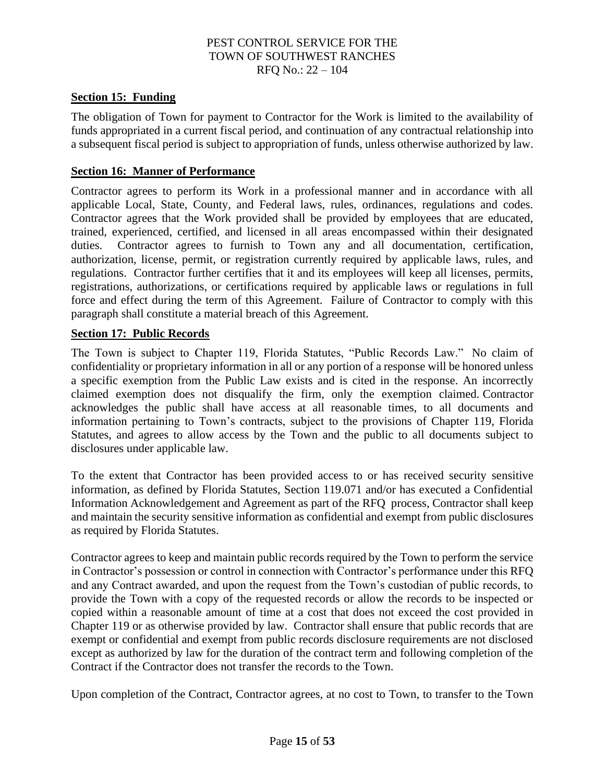#### **Section 15: Funding**

The obligation of Town for payment to Contractor for the Work is limited to the availability of funds appropriated in a current fiscal period, and continuation of any contractual relationship into a subsequent fiscal period is subject to appropriation of funds, unless otherwise authorized by law.

#### **Section 16: Manner of Performance**

Contractor agrees to perform its Work in a professional manner and in accordance with all applicable Local, State, County, and Federal laws, rules, ordinances, regulations and codes. Contractor agrees that the Work provided shall be provided by employees that are educated, trained, experienced, certified, and licensed in all areas encompassed within their designated duties. Contractor agrees to furnish to Town any and all documentation, certification, authorization, license, permit, or registration currently required by applicable laws, rules, and regulations. Contractor further certifies that it and its employees will keep all licenses, permits, registrations, authorizations, or certifications required by applicable laws or regulations in full force and effect during the term of this Agreement. Failure of Contractor to comply with this paragraph shall constitute a material breach of this Agreement.

#### **Section 17: Public Records**

The Town is subject to Chapter 119, Florida Statutes, "Public Records Law." No claim of confidentiality or proprietary information in all or any portion of a response will be honored unless a specific exemption from the Public Law exists and is cited in the response. An incorrectly claimed exemption does not disqualify the firm, only the exemption claimed. Contractor acknowledges the public shall have access at all reasonable times, to all documents and information pertaining to Town's contracts, subject to the provisions of Chapter 119, Florida Statutes, and agrees to allow access by the Town and the public to all documents subject to disclosures under applicable law.

To the extent that Contractor has been provided access to or has received security sensitive information, as defined by Florida Statutes, Section 119.071 and/or has executed a Confidential Information Acknowledgement and Agreement as part of the RFQ process, Contractor shall keep and maintain the security sensitive information as confidential and exempt from public disclosures as required by Florida Statutes.

Contractor agrees to keep and maintain public records required by the Town to perform the service in Contractor's possession or control in connection with Contractor's performance under this RFQ and any Contract awarded, and upon the request from the Town's custodian of public records, to provide the Town with a copy of the requested records or allow the records to be inspected or copied within a reasonable amount of time at a cost that does not exceed the cost provided in Chapter 119 or as otherwise provided by law. Contractor shall ensure that public records that are exempt or confidential and exempt from public records disclosure requirements are not disclosed except as authorized by law for the duration of the contract term and following completion of the Contract if the Contractor does not transfer the records to the Town.

Upon completion of the Contract, Contractor agrees, at no cost to Town, to transfer to the Town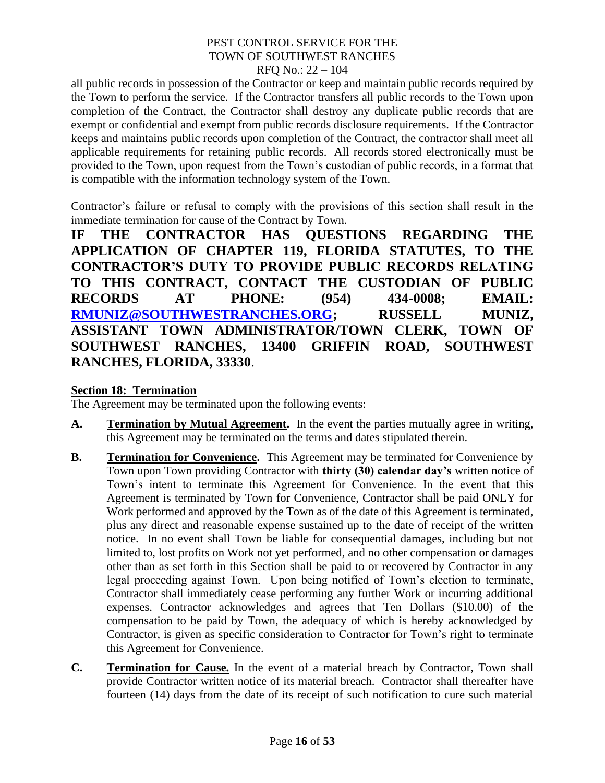# PEST CONTROL SERVICE FOR THE TOWN OF SOUTHWEST RANCHES

#### RFQ No.: 22 – 104

all public records in possession of the Contractor or keep and maintain public records required by the Town to perform the service. If the Contractor transfers all public records to the Town upon completion of the Contract, the Contractor shall destroy any duplicate public records that are exempt or confidential and exempt from public records disclosure requirements. If the Contractor keeps and maintains public records upon completion of the Contract, the contractor shall meet all applicable requirements for retaining public records. All records stored electronically must be provided to the Town, upon request from the Town's custodian of public records, in a format that is compatible with the information technology system of the Town.

Contractor's failure or refusal to comply with the provisions of this section shall result in the immediate termination for cause of the Contract by Town.

**IF THE CONTRACTOR HAS QUESTIONS REGARDING THE APPLICATION OF CHAPTER 119, FLORIDA STATUTES, TO THE CONTRACTOR'S DUTY TO PROVIDE PUBLIC RECORDS RELATING TO THIS CONTRACT, CONTACT THE CUSTODIAN OF PUBLIC RECORDS AT PHONE: (954) 434-0008; EMAIL: [RMUNIZ@SOUTHWESTRANCHES.ORG;](mailto:RMUNIZ@SOUTHWESTRANCHES.ORG) RUSSELL MUNIZ, ASSISTANT TOWN ADMINISTRATOR/TOWN CLERK, TOWN OF SOUTHWEST RANCHES, 13400 GRIFFIN ROAD, SOUTHWEST RANCHES, FLORIDA, 33330**.

#### **Section 18: Termination**

The Agreement may be terminated upon the following events:

- **A. Termination by Mutual Agreement.** In the event the parties mutually agree in writing, this Agreement may be terminated on the terms and dates stipulated therein.
- **B. Termination for Convenience.** This Agreement may be terminated for Convenience by Town upon Town providing Contractor with **thirty (30) calendar day's** written notice of Town's intent to terminate this Agreement for Convenience. In the event that this Agreement is terminated by Town for Convenience, Contractor shall be paid ONLY for Work performed and approved by the Town as of the date of this Agreement is terminated, plus any direct and reasonable expense sustained up to the date of receipt of the written notice. In no event shall Town be liable for consequential damages, including but not limited to, lost profits on Work not yet performed, and no other compensation or damages other than as set forth in this Section shall be paid to or recovered by Contractor in any legal proceeding against Town. Upon being notified of Town's election to terminate, Contractor shall immediately cease performing any further Work or incurring additional expenses. Contractor acknowledges and agrees that Ten Dollars (\$10.00) of the compensation to be paid by Town, the adequacy of which is hereby acknowledged by Contractor, is given as specific consideration to Contractor for Town's right to terminate this Agreement for Convenience.
- **C. Termination for Cause.** In the event of a material breach by Contractor, Town shall provide Contractor written notice of its material breach. Contractor shall thereafter have fourteen (14) days from the date of its receipt of such notification to cure such material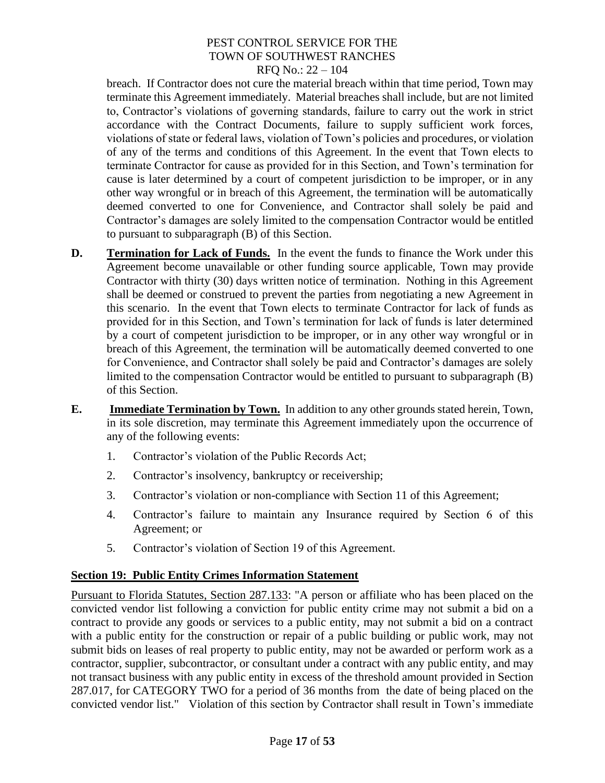breach. If Contractor does not cure the material breach within that time period, Town may terminate this Agreement immediately. Material breaches shall include, but are not limited to, Contractor's violations of governing standards, failure to carry out the work in strict accordance with the Contract Documents, failure to supply sufficient work forces, violations of state or federal laws, violation of Town's policies and procedures, or violation of any of the terms and conditions of this Agreement. In the event that Town elects to terminate Contractor for cause as provided for in this Section, and Town's termination for cause is later determined by a court of competent jurisdiction to be improper, or in any other way wrongful or in breach of this Agreement, the termination will be automatically deemed converted to one for Convenience, and Contractor shall solely be paid and Contractor's damages are solely limited to the compensation Contractor would be entitled to pursuant to subparagraph (B) of this Section.

- **D. Termination for Lack of Funds.** In the event the funds to finance the Work under this Agreement become unavailable or other funding source applicable, Town may provide Contractor with thirty (30) days written notice of termination. Nothing in this Agreement shall be deemed or construed to prevent the parties from negotiating a new Agreement in this scenario. In the event that Town elects to terminate Contractor for lack of funds as provided for in this Section, and Town's termination for lack of funds is later determined by a court of competent jurisdiction to be improper, or in any other way wrongful or in breach of this Agreement, the termination will be automatically deemed converted to one for Convenience, and Contractor shall solely be paid and Contractor's damages are solely limited to the compensation Contractor would be entitled to pursuant to subparagraph (B) of this Section.
- **E. Immediate Termination by Town.** In addition to any other grounds stated herein, Town, in its sole discretion, may terminate this Agreement immediately upon the occurrence of any of the following events:
	- 1. Contractor's violation of the Public Records Act;
	- 2. Contractor's insolvency, bankruptcy or receivership;
	- 3. Contractor's violation or non-compliance with Section 11 of this Agreement;
	- 4. Contractor's failure to maintain any Insurance required by Section 6 of this Agreement; or
	- 5. Contractor's violation of Section 19 of this Agreement.

#### **Section 19: Public Entity Crimes Information Statement**

Pursuant to Florida Statutes, Section 287.133: "A person or affiliate who has been placed on the convicted vendor list following a conviction for public entity crime may not submit a bid on a contract to provide any goods or services to a public entity, may not submit a bid on a contract with a public entity for the construction or repair of a public building or public work, may not submit bids on leases of real property to public entity, may not be awarded or perform work as a contractor, supplier, subcontractor, or consultant under a contract with any public entity, and may not transact business with any public entity in excess of the threshold amount provided in Section 287.017, for CATEGORY TWO for a period of 36 months from the date of being placed on the convicted vendor list." Violation of this section by Contractor shall result in Town's immediate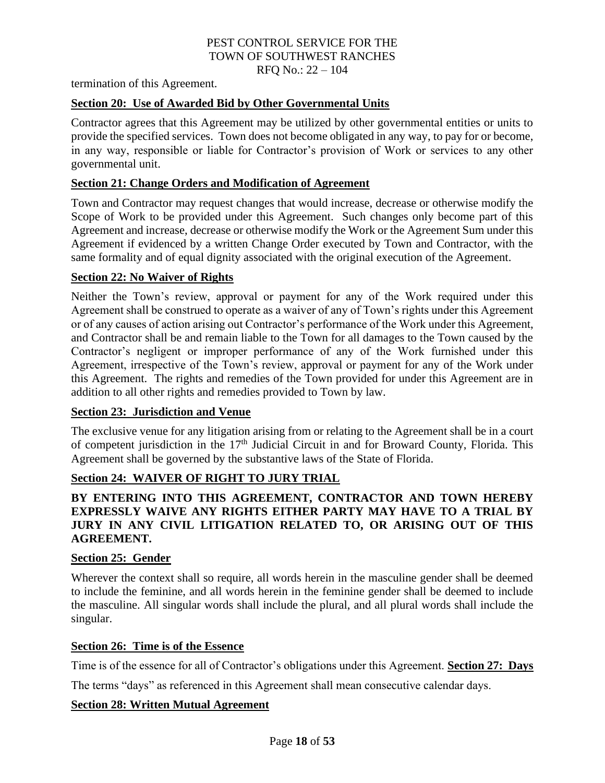# PEST CONTROL SERVICE FOR THE TOWN OF SOUTHWEST RANCHES

RFQ No.: 22 – 104

termination of this Agreement.

#### **Section 20: Use of Awarded Bid by Other Governmental Units**

Contractor agrees that this Agreement may be utilized by other governmental entities or units to provide the specified services. Town does not become obligated in any way, to pay for or become, in any way, responsible or liable for Contractor's provision of Work or services to any other governmental unit.

#### **Section 21: Change Orders and Modification of Agreement**

Town and Contractor may request changes that would increase, decrease or otherwise modify the Scope of Work to be provided under this Agreement. Such changes only become part of this Agreement and increase, decrease or otherwise modify the Work or the Agreement Sum under this Agreement if evidenced by a written Change Order executed by Town and Contractor, with the same formality and of equal dignity associated with the original execution of the Agreement.

#### **Section 22: No Waiver of Rights**

Neither the Town's review, approval or payment for any of the Work required under this Agreement shall be construed to operate as a waiver of any of Town's rights under this Agreement or of any causes of action arising out Contractor's performance of the Work under this Agreement, and Contractor shall be and remain liable to the Town for all damages to the Town caused by the Contractor's negligent or improper performance of any of the Work furnished under this Agreement, irrespective of the Town's review, approval or payment for any of the Work under this Agreement. The rights and remedies of the Town provided for under this Agreement are in addition to all other rights and remedies provided to Town by law.

#### **Section 23: Jurisdiction and Venue**

The exclusive venue for any litigation arising from or relating to the Agreement shall be in a court of competent jurisdiction in the  $17<sup>th</sup>$  Judicial Circuit in and for Broward County, Florida. This Agreement shall be governed by the substantive laws of the State of Florida.

## **Section 24: WAIVER OF RIGHT TO JURY TRIAL**

## **BY ENTERING INTO THIS AGREEMENT, CONTRACTOR AND TOWN HEREBY EXPRESSLY WAIVE ANY RIGHTS EITHER PARTY MAY HAVE TO A TRIAL BY JURY IN ANY CIVIL LITIGATION RELATED TO, OR ARISING OUT OF THIS AGREEMENT.**

#### **Section 25: Gender**

Wherever the context shall so require, all words herein in the masculine gender shall be deemed to include the feminine, and all words herein in the feminine gender shall be deemed to include the masculine. All singular words shall include the plural, and all plural words shall include the singular.

#### **Section 26: Time is of the Essence**

Time is of the essence for all of Contractor's obligations under this Agreement. **Section 27: Days**

The terms "days" as referenced in this Agreement shall mean consecutive calendar days.

#### **Section 28: Written Mutual Agreement**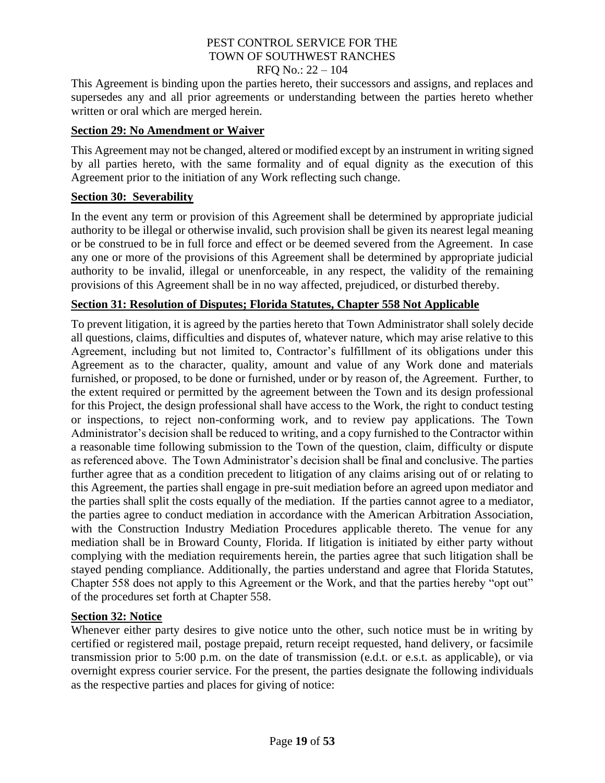# PEST CONTROL SERVICE FOR THE TOWN OF SOUTHWEST RANCHES

#### RFQ No.: 22 – 104

This Agreement is binding upon the parties hereto, their successors and assigns, and replaces and supersedes any and all prior agreements or understanding between the parties hereto whether written or oral which are merged herein.

#### **Section 29: No Amendment or Waiver**

This Agreement may not be changed, altered or modified except by an instrument in writing signed by all parties hereto, with the same formality and of equal dignity as the execution of this Agreement prior to the initiation of any Work reflecting such change.

#### **Section 30: Severability**

In the event any term or provision of this Agreement shall be determined by appropriate judicial authority to be illegal or otherwise invalid, such provision shall be given its nearest legal meaning or be construed to be in full force and effect or be deemed severed from the Agreement. In case any one or more of the provisions of this Agreement shall be determined by appropriate judicial authority to be invalid, illegal or unenforceable, in any respect, the validity of the remaining provisions of this Agreement shall be in no way affected, prejudiced, or disturbed thereby.

## **Section 31: Resolution of Disputes; Florida Statutes, Chapter 558 Not Applicable**

To prevent litigation, it is agreed by the parties hereto that Town Administrator shall solely decide all questions, claims, difficulties and disputes of, whatever nature, which may arise relative to this Agreement, including but not limited to, Contractor's fulfillment of its obligations under this Agreement as to the character, quality, amount and value of any Work done and materials furnished, or proposed, to be done or furnished, under or by reason of, the Agreement. Further, to the extent required or permitted by the agreement between the Town and its design professional for this Project, the design professional shall have access to the Work, the right to conduct testing or inspections, to reject non-conforming work, and to review pay applications. The Town Administrator's decision shall be reduced to writing, and a copy furnished to the Contractor within a reasonable time following submission to the Town of the question, claim, difficulty or dispute as referenced above. The Town Administrator's decision shall be final and conclusive. The parties further agree that as a condition precedent to litigation of any claims arising out of or relating to this Agreement, the parties shall engage in pre-suit mediation before an agreed upon mediator and the parties shall split the costs equally of the mediation. If the parties cannot agree to a mediator, the parties agree to conduct mediation in accordance with the American Arbitration Association, with the Construction Industry Mediation Procedures applicable thereto. The venue for any mediation shall be in Broward County, Florida. If litigation is initiated by either party without complying with the mediation requirements herein, the parties agree that such litigation shall be stayed pending compliance. Additionally, the parties understand and agree that Florida Statutes, Chapter 558 does not apply to this Agreement or the Work, and that the parties hereby "opt out" of the procedures set forth at Chapter 558.

## **Section 32: Notice**

Whenever either party desires to give notice unto the other, such notice must be in writing by certified or registered mail, postage prepaid, return receipt requested, hand delivery, or facsimile transmission prior to 5:00 p.m. on the date of transmission (e.d.t. or e.s.t. as applicable), or via overnight express courier service. For the present, the parties designate the following individuals as the respective parties and places for giving of notice: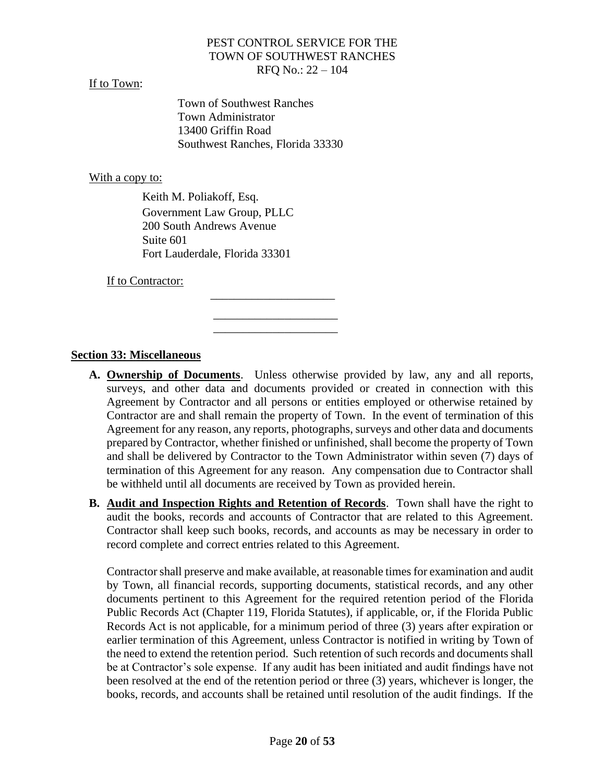#### If to Town:

Town of Southwest Ranches Town Administrator 13400 Griffin Road Southwest Ranches, Florida 33330

> \_\_\_\_\_\_\_\_\_\_\_\_\_\_\_\_\_\_\_\_\_ \_\_\_\_\_\_\_\_\_\_\_\_\_\_\_\_\_\_\_\_\_

#### With a copy to:

Keith M. Poliakoff, Esq. Government Law Group, PLLC 200 South Andrews Avenue Suite 601 Fort Lauderdale, Florida 33301

 $\mathcal{L}_\text{max}$  , and the contract of the contract of the contract of the contract of the contract of the contract of the contract of the contract of the contract of the contract of the contract of the contract of the contr

If to Contractor:

#### **Section 33: Miscellaneous**

- **A. Ownership of Documents**. Unless otherwise provided by law, any and all reports, surveys, and other data and documents provided or created in connection with this Agreement by Contractor and all persons or entities employed or otherwise retained by Contractor are and shall remain the property of Town. In the event of termination of this Agreement for any reason, any reports, photographs, surveys and other data and documents prepared by Contractor, whether finished or unfinished, shall become the property of Town and shall be delivered by Contractor to the Town Administrator within seven (7) days of termination of this Agreement for any reason. Any compensation due to Contractor shall be withheld until all documents are received by Town as provided herein.
- **B. Audit and Inspection Rights and Retention of Records**. Town shall have the right to audit the books, records and accounts of Contractor that are related to this Agreement. Contractor shall keep such books, records, and accounts as may be necessary in order to record complete and correct entries related to this Agreement.

Contractor shall preserve and make available, at reasonable times for examination and audit by Town, all financial records, supporting documents, statistical records, and any other documents pertinent to this Agreement for the required retention period of the Florida Public Records Act (Chapter 119, Florida Statutes), if applicable, or, if the Florida Public Records Act is not applicable, for a minimum period of three (3) years after expiration or earlier termination of this Agreement, unless Contractor is notified in writing by Town of the need to extend the retention period. Such retention of such records and documents shall be at Contractor's sole expense. If any audit has been initiated and audit findings have not been resolved at the end of the retention period or three (3) years, whichever is longer, the books, records, and accounts shall be retained until resolution of the audit findings. If the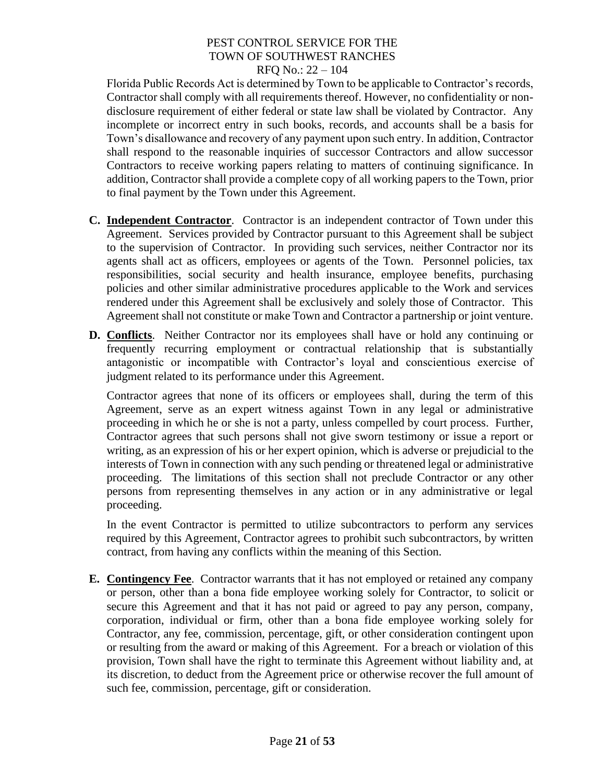Florida Public Records Act is determined by Town to be applicable to Contractor's records, Contractor shall comply with all requirements thereof. However, no confidentiality or nondisclosure requirement of either federal or state law shall be violated by Contractor. Any incomplete or incorrect entry in such books, records, and accounts shall be a basis for Town's disallowance and recovery of any payment upon such entry. In addition, Contractor shall respond to the reasonable inquiries of successor Contractors and allow successor Contractors to receive working papers relating to matters of continuing significance. In addition, Contractor shall provide a complete copy of all working papers to the Town, prior to final payment by the Town under this Agreement.

- **C. Independent Contractor**. Contractor is an independent contractor of Town under this Agreement. Services provided by Contractor pursuant to this Agreement shall be subject to the supervision of Contractor. In providing such services, neither Contractor nor its agents shall act as officers, employees or agents of the Town. Personnel policies, tax responsibilities, social security and health insurance, employee benefits, purchasing policies and other similar administrative procedures applicable to the Work and services rendered under this Agreement shall be exclusively and solely those of Contractor. This Agreement shall not constitute or make Town and Contractor a partnership or joint venture.
- **D. Conflicts**. Neither Contractor nor its employees shall have or hold any continuing or frequently recurring employment or contractual relationship that is substantially antagonistic or incompatible with Contractor's loyal and conscientious exercise of judgment related to its performance under this Agreement.

Contractor agrees that none of its officers or employees shall, during the term of this Agreement, serve as an expert witness against Town in any legal or administrative proceeding in which he or she is not a party, unless compelled by court process. Further, Contractor agrees that such persons shall not give sworn testimony or issue a report or writing, as an expression of his or her expert opinion, which is adverse or prejudicial to the interests of Town in connection with any such pending or threatened legal or administrative proceeding. The limitations of this section shall not preclude Contractor or any other persons from representing themselves in any action or in any administrative or legal proceeding.

In the event Contractor is permitted to utilize subcontractors to perform any services required by this Agreement, Contractor agrees to prohibit such subcontractors, by written contract, from having any conflicts within the meaning of this Section.

**E. Contingency Fee**. Contractor warrants that it has not employed or retained any company or person, other than a bona fide employee working solely for Contractor, to solicit or secure this Agreement and that it has not paid or agreed to pay any person, company, corporation, individual or firm, other than a bona fide employee working solely for Contractor, any fee, commission, percentage, gift, or other consideration contingent upon or resulting from the award or making of this Agreement. For a breach or violation of this provision, Town shall have the right to terminate this Agreement without liability and, at its discretion, to deduct from the Agreement price or otherwise recover the full amount of such fee, commission, percentage, gift or consideration.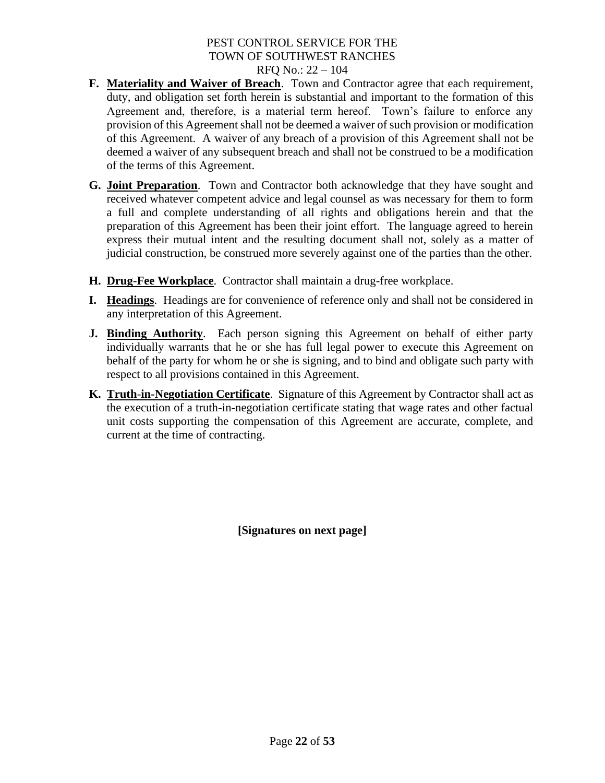- **F. Materiality and Waiver of Breach**. Town and Contractor agree that each requirement, duty, and obligation set forth herein is substantial and important to the formation of this Agreement and, therefore, is a material term hereof. Town's failure to enforce any provision of this Agreement shall not be deemed a waiver of such provision or modification of this Agreement. A waiver of any breach of a provision of this Agreement shall not be deemed a waiver of any subsequent breach and shall not be construed to be a modification of the terms of this Agreement.
- **G. Joint Preparation**. Town and Contractor both acknowledge that they have sought and received whatever competent advice and legal counsel as was necessary for them to form a full and complete understanding of all rights and obligations herein and that the preparation of this Agreement has been their joint effort. The language agreed to herein express their mutual intent and the resulting document shall not, solely as a matter of judicial construction, be construed more severely against one of the parties than the other.
- **H. Drug**-**Fee Workplace**. Contractor shall maintain a drug-free workplace.
- **I. Headings**. Headings are for convenience of reference only and shall not be considered in any interpretation of this Agreement.
- **J. Binding Authority**. Each person signing this Agreement on behalf of either party individually warrants that he or she has full legal power to execute this Agreement on behalf of the party for whom he or she is signing, and to bind and obligate such party with respect to all provisions contained in this Agreement.
- **K. Truth**-**in-Negotiation Certificate**. Signature of this Agreement by Contractor shall act as the execution of a truth-in-negotiation certificate stating that wage rates and other factual unit costs supporting the compensation of this Agreement are accurate, complete, and current at the time of contracting.

**[Signatures on next page]**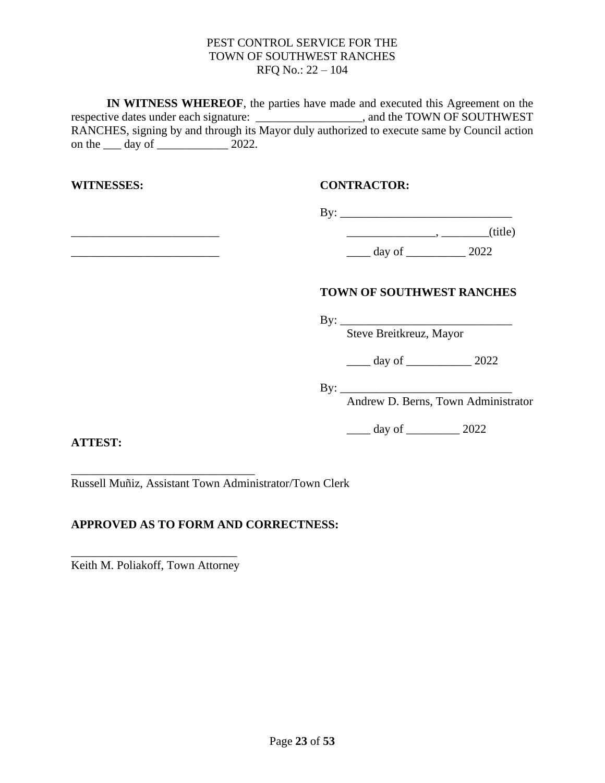**IN WITNESS WHEREOF**, the parties have made and executed this Agreement on the respective dates under each signature: \_\_\_\_\_\_\_\_\_\_\_\_\_\_\_\_\_\_, and the TOWN OF SOUTHWEST RANCHES, signing by and through its Mayor duly authorized to execute same by Council action on the <u>equal</u> day of <u>equal</u> 2022.

\_\_\_\_\_\_\_\_\_\_\_\_\_\_\_\_\_\_\_\_\_\_\_\_\_ \_\_\_\_\_\_\_\_\_\_\_\_\_\_\_, \_\_\_\_\_\_\_\_(title)

## **WITNESSES: CONTRACTOR:**

| By: |  |  |         |
|-----|--|--|---------|
|     |  |  | (title) |

\_\_\_\_\_\_\_\_\_\_\_\_\_\_\_\_\_\_\_\_\_\_\_\_\_ \_\_\_\_ day of \_\_\_\_\_\_\_\_\_\_ 2022

## **TOWN OF SOUTHWEST RANCHES**

By: \_\_\_\_\_\_\_\_\_\_\_\_\_\_\_\_\_\_\_\_\_\_\_\_\_\_\_\_\_

Steve Breitkreuz, Mayor

\_\_\_\_ day of \_\_\_\_\_\_\_\_\_\_\_ 2022

By: \_\_\_\_\_\_\_\_\_\_\_\_\_\_\_\_\_\_\_\_\_\_\_\_\_\_\_\_\_

Andrew D. Berns, Town Administrator

 $\frac{1}{2022}$  day of  $\frac{2022}{2022}$ 

**ATTEST:**

\_\_\_\_\_\_\_\_\_\_\_\_\_\_\_\_\_\_\_\_\_\_\_\_\_\_\_\_\_\_\_ Russell Muñiz, Assistant Town Administrator/Town Clerk

# **APPROVED AS TO FORM AND CORRECTNESS:**

\_\_\_\_\_\_\_\_\_\_\_\_\_\_\_\_\_\_\_\_\_\_\_\_\_\_\_\_ Keith M. Poliakoff, Town Attorney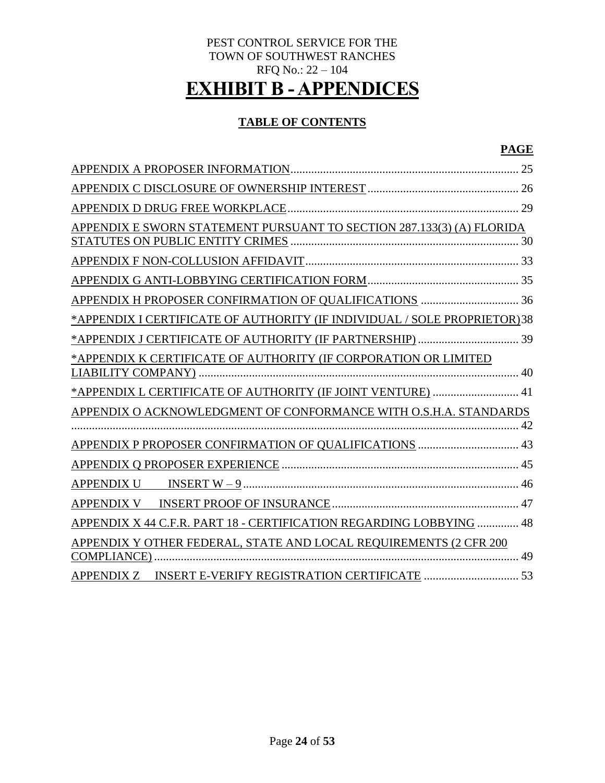# PEST CONTROL SERVICE FOR THE TOWN OF SOUTHWEST RANCHES RFQ No.: 22 – 104 **EXHIBIT B - APPENDICES**

# **TABLE OF CONTENTS**

# **PAGE**

|                                                                          | 25 |
|--------------------------------------------------------------------------|----|
|                                                                          |    |
|                                                                          |    |
| APPENDIX E SWORN STATEMENT PURSUANT TO SECTION 287.133(3) (A) FLORIDA    |    |
|                                                                          |    |
|                                                                          |    |
|                                                                          |    |
| *APPENDIX I CERTIFICATE OF AUTHORITY (IF INDIVIDUAL / SOLE PROPRIETOR)38 |    |
| *APPENDIX J CERTIFICATE OF AUTHORITY (IF PARTNERSHIP)  39                |    |
| *APPENDIX K CERTIFICATE OF AUTHORITY (IF CORPORATION OR LIMITED          |    |
| *APPENDIX L CERTIFICATE OF AUTHORITY (IF JOINT VENTURE)  41              |    |
| APPENDIX O ACKNOWLEDGMENT OF CONFORMANCE WITH O.S.H.A. STANDARDS         | 42 |
| APPENDIX P PROPOSER CONFIRMATION OF QUALIFICATIONS  43                   |    |
|                                                                          |    |
|                                                                          |    |
|                                                                          |    |
| APPENDIX X 44 C.F.R. PART 18 - CERTIFICATION REGARDING LOBBYING  48      |    |
| APPENDIX Y OTHER FEDERAL, STATE AND LOCAL REQUIREMENTS (2 CFR 200        |    |
| <b>COMPLIANCE)</b>                                                       | 49 |
| <b>APPENDIX Z</b>                                                        |    |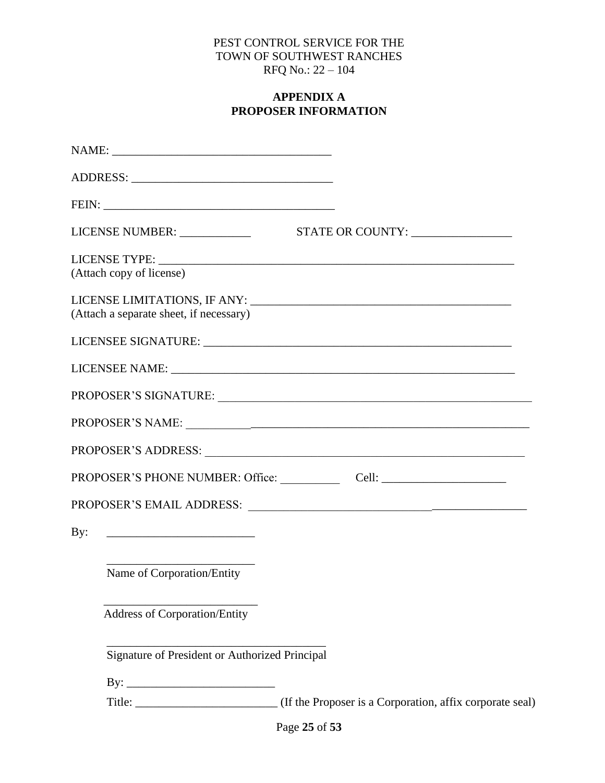## **APPENDIX A PROPOSER INFORMATION**

<span id="page-24-0"></span>

|     | LICENSE NUMBER: _____________                             | STATE OR COUNTY:                                                                   |
|-----|-----------------------------------------------------------|------------------------------------------------------------------------------------|
|     |                                                           |                                                                                    |
|     | (Attach copy of license)                                  |                                                                                    |
|     | (Attach a separate sheet, if necessary)                   |                                                                                    |
|     |                                                           |                                                                                    |
|     |                                                           |                                                                                    |
|     |                                                           | PROPOSER'S SIGNATURE: University of the Second Proposer's SIGNATURE:               |
|     |                                                           |                                                                                    |
|     |                                                           | PROPOSER'S ADDRESS: University of the Second Proposer's ADDRESS:                   |
|     |                                                           | PROPOSER'S PHONE NUMBER: Office: Cell: Cell: Cell: Cell: Cell: Cell: Cell: Cell: C |
|     |                                                           |                                                                                    |
| By: | <u> 1989 - Johann Barbara, martin amerikan personal (</u> |                                                                                    |
|     | Name of Corporation/Entity                                |                                                                                    |
|     | Address of Corporation/Entity                             |                                                                                    |
|     | Signature of President or Authorized Principal            |                                                                                    |
|     |                                                           |                                                                                    |
|     |                                                           |                                                                                    |
|     |                                                           |                                                                                    |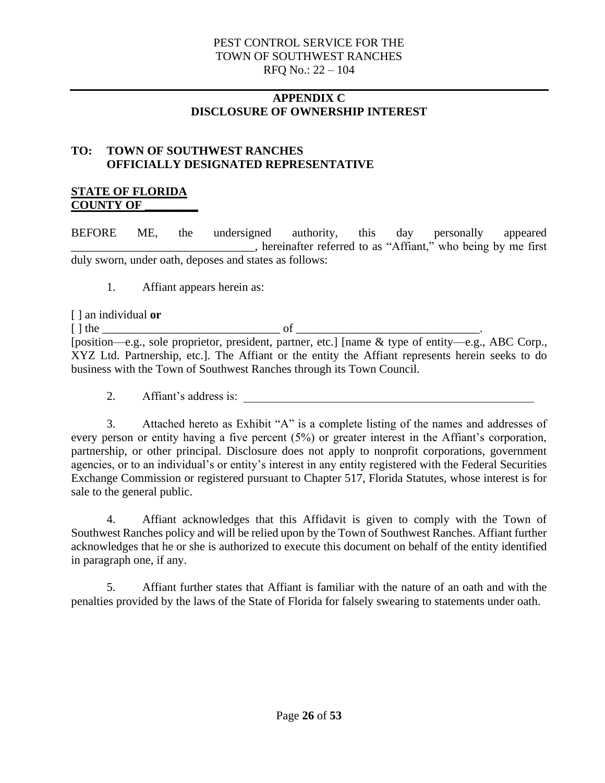## **APPENDIX C DISCLOSURE OF OWNERSHIP INTEREST**

## <span id="page-25-0"></span>**TO: TOWN OF SOUTHWEST RANCHES OFFICIALLY DESIGNATED REPRESENTATIVE**

## **STATE OF FLORIDA COUNTY OF \_\_\_\_\_\_\_\_\_**

BEFORE ME, the undersigned authority, this day personally appeared \_\_\_\_\_\_\_\_\_\_\_\_\_\_\_\_\_\_\_\_\_\_\_\_\_\_\_\_\_\_\_, hereinafter referred to as "Affiant," who being by me first duly sworn, under oath, deposes and states as follows:

1. Affiant appears herein as:

[ ] an individual **or** [ ] the \_\_\_\_\_\_\_\_\_\_\_\_\_\_\_\_\_\_\_\_\_\_\_\_\_\_\_\_\_\_ of \_\_\_\_\_\_\_\_\_\_\_\_\_\_\_\_\_\_\_\_\_\_\_\_\_\_\_\_\_\_\_. [position—e.g., sole proprietor, president, partner, etc.] [name & type of entity—e.g., ABC Corp., XYZ Ltd. Partnership, etc.]. The Affiant or the entity the Affiant represents herein seeks to do business with the Town of Southwest Ranches through its Town Council.

2. Affiant's address is:

3. Attached hereto as Exhibit "A" is a complete listing of the names and addresses of every person or entity having a five percent (5%) or greater interest in the Affiant's corporation, partnership, or other principal. Disclosure does not apply to nonprofit corporations, government agencies, or to an individual's or entity's interest in any entity registered with the Federal Securities Exchange Commission or registered pursuant to Chapter 517, Florida Statutes, whose interest is for sale to the general public.

4. Affiant acknowledges that this Affidavit is given to comply with the Town of Southwest Ranches policy and will be relied upon by the Town of Southwest Ranches. Affiant further acknowledges that he or she is authorized to execute this document on behalf of the entity identified in paragraph one, if any.

5. Affiant further states that Affiant is familiar with the nature of an oath and with the penalties provided by the laws of the State of Florida for falsely swearing to statements under oath.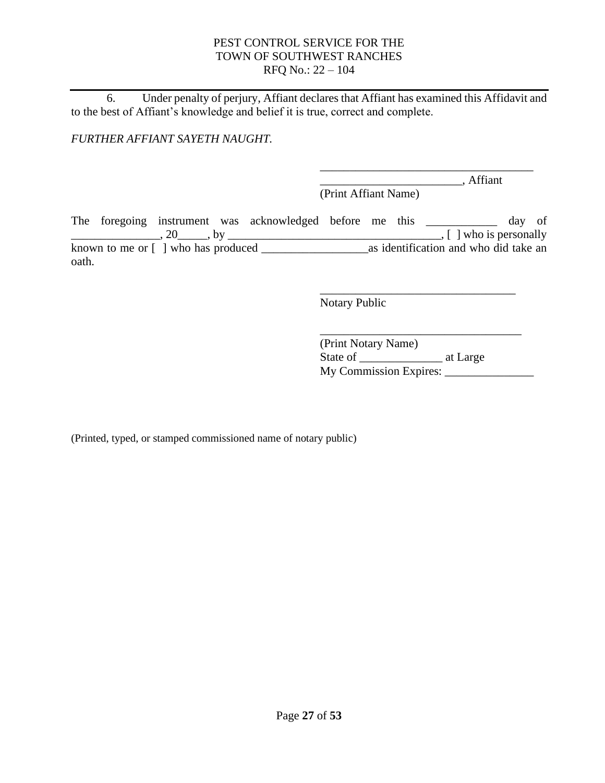6. Under penalty of perjury, Affiant declares that Affiant has examined this Affidavit and to the best of Affiant's knowledge and belief it is true, correct and complete.

*FURTHER AFFIANT SAYETH NAUGHT.*

 $\overline{\phantom{a}}$ , Affiant (Print Affiant Name)

\_\_\_\_\_\_\_\_\_\_\_\_\_\_\_\_\_\_\_\_\_\_\_\_\_\_\_\_\_\_\_\_\_\_\_\_

The foregoing instrument was acknowledged before me this \_\_\_\_\_\_\_\_\_\_\_\_ day of \_\_\_\_\_\_\_\_\_\_\_\_\_\_\_, 20\_\_\_\_\_, by \_\_\_\_\_\_\_\_\_\_\_\_\_\_\_\_\_\_\_\_\_\_\_\_\_\_\_\_\_\_\_\_\_\_\_\_, [ ] who is personally known to me or [ ] who has produced \_\_\_\_\_\_\_\_\_\_\_\_\_\_\_\_\_\_as identification and who did take an oath.

Notary Public

\_\_\_\_\_\_\_\_\_\_\_\_\_\_\_\_\_\_\_\_\_\_\_\_\_\_\_\_\_\_\_\_\_\_ (Print Notary Name) State of \_\_\_\_\_\_\_\_\_\_\_\_\_\_\_\_\_\_\_\_\_ at Large My Commission Expires: \_\_\_\_\_\_\_\_\_\_\_\_\_\_\_

\_\_\_\_\_\_\_\_\_\_\_\_\_\_\_\_\_\_\_\_\_\_\_\_\_\_\_\_\_\_\_\_\_

(Printed, typed, or stamped commissioned name of notary public)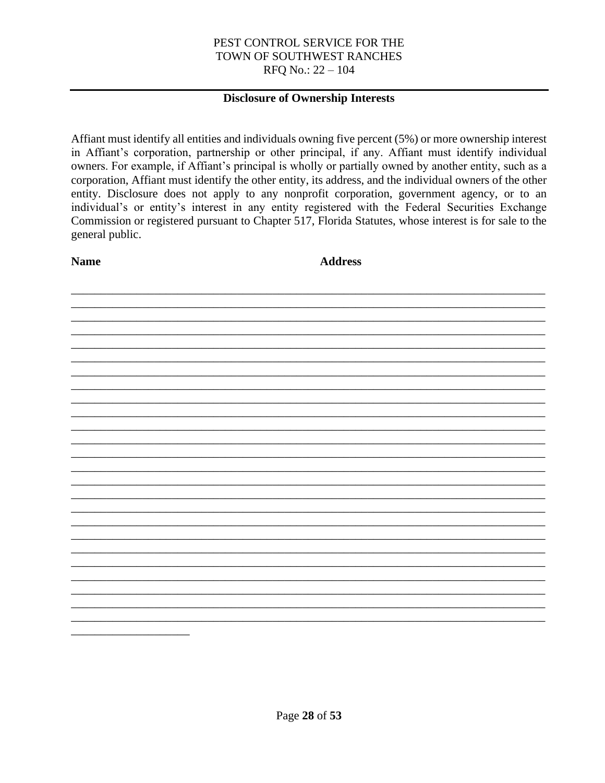#### **Disclosure of Ownership Interests**

Affiant must identify all entities and individuals owning five percent (5%) or more ownership interest in Affiant's corporation, partnership or other principal, if any. Affiant must identify individual owners. For example, if Affiant's principal is wholly or partially owned by another entity, such as a corporation, Affiant must identify the other entity, its address, and the individual owners of the other entity. Disclosure does not apply to any nonprofit corporation, government agency, or to an individual's or entity's interest in any entity registered with the Federal Securities Exchange Commission or registered pursuant to Chapter 517, Florida Statutes, whose interest is for sale to the general public.

**Name** 

**Address**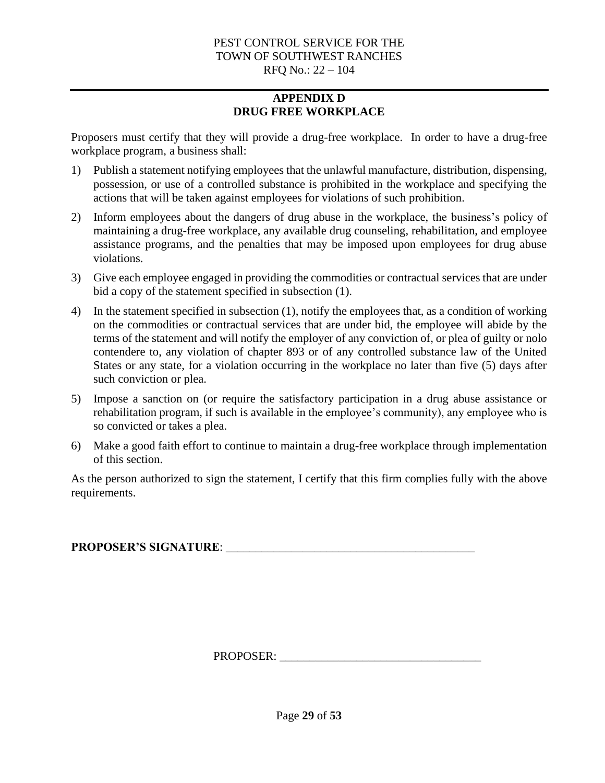# **APPENDIX D DRUG FREE WORKPLACE**

<span id="page-28-0"></span>Proposers must certify that they will provide a drug-free workplace. In order to have a drug-free workplace program, a business shall:

- 1) Publish a statement notifying employees that the unlawful manufacture, distribution, dispensing, possession, or use of a controlled substance is prohibited in the workplace and specifying the actions that will be taken against employees for violations of such prohibition.
- 2) Inform employees about the dangers of drug abuse in the workplace, the business's policy of maintaining a drug-free workplace, any available drug counseling, rehabilitation, and employee assistance programs, and the penalties that may be imposed upon employees for drug abuse violations.
- 3) Give each employee engaged in providing the commodities or contractual services that are under bid a copy of the statement specified in subsection (1).
- 4) In the statement specified in subsection (1), notify the employees that, as a condition of working on the commodities or contractual services that are under bid, the employee will abide by the terms of the statement and will notify the employer of any conviction of, or plea of guilty or nolo contendere to, any violation of chapter 893 or of any controlled substance law of the United States or any state, for a violation occurring in the workplace no later than five (5) days after such conviction or plea.
- 5) Impose a sanction on (or require the satisfactory participation in a drug abuse assistance or rehabilitation program, if such is available in the employee's community), any employee who is so convicted or takes a plea.
- 6) Make a good faith effort to continue to maintain a drug-free workplace through implementation of this section.

As the person authorized to sign the statement, I certify that this firm complies fully with the above requirements.

PROPOSER'S SIGNATURE:

PROPOSER: \_\_\_\_\_\_\_\_\_\_\_\_\_\_\_\_\_\_\_\_\_\_\_\_\_\_\_\_\_\_\_\_\_\_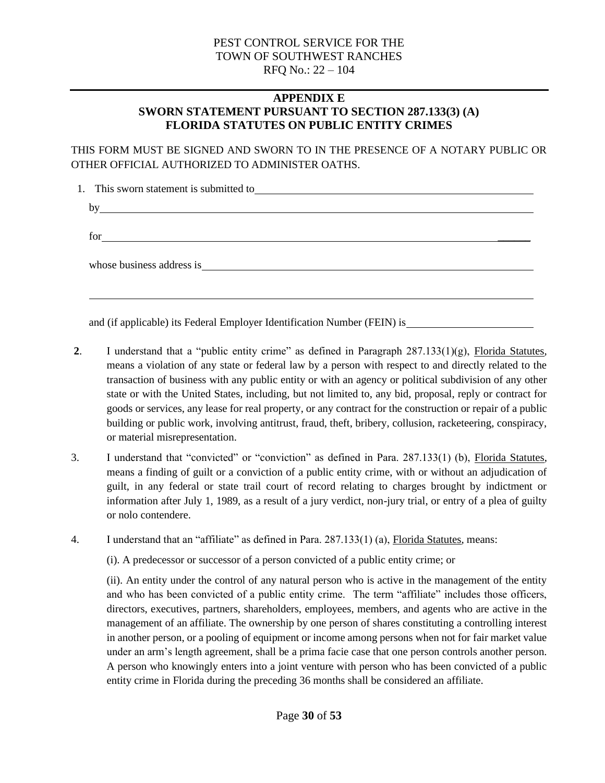## **APPENDIX E SWORN STATEMENT PURSUANT TO SECTION 287.133(3) (A) FLORIDA STATUTES ON PUBLIC ENTITY CRIMES**

<span id="page-29-0"></span>THIS FORM MUST BE SIGNED AND SWORN TO IN THE PRESENCE OF A NOTARY PUBLIC OR OTHER OFFICIAL AUTHORIZED TO ADMINISTER OATHS.

| by  |                                                                                                                                                                                                                               |  |  |
|-----|-------------------------------------------------------------------------------------------------------------------------------------------------------------------------------------------------------------------------------|--|--|
| for | <u> 1980 - Andrea State Barbara, amerikan personal di sebagai personal di sebagai personal di sebagai personal d</u>                                                                                                          |  |  |
|     | whose business address is experience of the state of the state of the state of the state of the state of the state of the state of the state of the state of the state of the state of the state of the state of the state of |  |  |
|     |                                                                                                                                                                                                                               |  |  |

and (if applicable) its Federal Employer Identification Number (FEIN) is

- **2**. I understand that a "public entity crime" as defined in Paragraph 287.133(1)(g), Florida Statutes, means a violation of any state or federal law by a person with respect to and directly related to the transaction of business with any public entity or with an agency or political subdivision of any other state or with the United States, including, but not limited to, any bid, proposal, reply or contract for goods or services, any lease for real property, or any contract for the construction or repair of a public building or public work, involving antitrust, fraud, theft, bribery, collusion, racketeering, conspiracy, or material misrepresentation.
- 3. I understand that "convicted" or "conviction" as defined in Para. 287.133(1) (b), Florida Statutes, means a finding of guilt or a conviction of a public entity crime, with or without an adjudication of guilt, in any federal or state trail court of record relating to charges brought by indictment or information after July 1, 1989, as a result of a jury verdict, non-jury trial, or entry of a plea of guilty or nolo contendere.
- 4. I understand that an "affiliate" as defined in Para. 287.133(1) (a), Florida Statutes, means:

(i). A predecessor or successor of a person convicted of a public entity crime; or

(ii). An entity under the control of any natural person who is active in the management of the entity and who has been convicted of a public entity crime. The term "affiliate" includes those officers, directors, executives, partners, shareholders, employees, members, and agents who are active in the management of an affiliate. The ownership by one person of shares constituting a controlling interest in another person, or a pooling of equipment or income among persons when not for fair market value under an arm's length agreement, shall be a prima facie case that one person controls another person. A person who knowingly enters into a joint venture with person who has been convicted of a public entity crime in Florida during the preceding 36 months shall be considered an affiliate.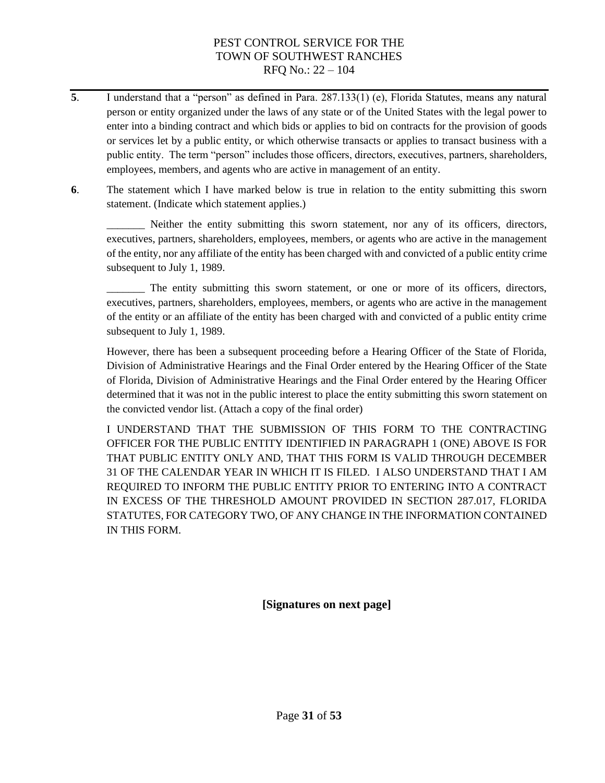- **5**. I understand that a "person" as defined in Para. 287.133(1) (e), Florida Statutes, means any natural person or entity organized under the laws of any state or of the United States with the legal power to enter into a binding contract and which bids or applies to bid on contracts for the provision of goods or services let by a public entity, or which otherwise transacts or applies to transact business with a public entity. The term "person" includes those officers, directors, executives, partners, shareholders, employees, members, and agents who are active in management of an entity.
- **6**. The statement which I have marked below is true in relation to the entity submitting this sworn statement. (Indicate which statement applies.)

\_\_\_\_\_\_\_ Neither the entity submitting this sworn statement, nor any of its officers, directors, executives, partners, shareholders, employees, members, or agents who are active in the management of the entity, nor any affiliate of the entity has been charged with and convicted of a public entity crime subsequent to July 1, 1989.

\_\_\_\_\_\_\_ The entity submitting this sworn statement, or one or more of its officers, directors, executives, partners, shareholders, employees, members, or agents who are active in the management of the entity or an affiliate of the entity has been charged with and convicted of a public entity crime subsequent to July 1, 1989.

However, there has been a subsequent proceeding before a Hearing Officer of the State of Florida, Division of Administrative Hearings and the Final Order entered by the Hearing Officer of the State of Florida, Division of Administrative Hearings and the Final Order entered by the Hearing Officer determined that it was not in the public interest to place the entity submitting this sworn statement on the convicted vendor list. (Attach a copy of the final order)

I UNDERSTAND THAT THE SUBMISSION OF THIS FORM TO THE CONTRACTING OFFICER FOR THE PUBLIC ENTITY IDENTIFIED IN PARAGRAPH 1 (ONE) ABOVE IS FOR THAT PUBLIC ENTITY ONLY AND, THAT THIS FORM IS VALID THROUGH DECEMBER 31 OF THE CALENDAR YEAR IN WHICH IT IS FILED. I ALSO UNDERSTAND THAT I AM REQUIRED TO INFORM THE PUBLIC ENTITY PRIOR TO ENTERING INTO A CONTRACT IN EXCESS OF THE THRESHOLD AMOUNT PROVIDED IN SECTION 287.017, FLORIDA STATUTES, FOR CATEGORY TWO, OF ANY CHANGE IN THE INFORMATION CONTAINED IN THIS FORM.

**[Signatures on next page]**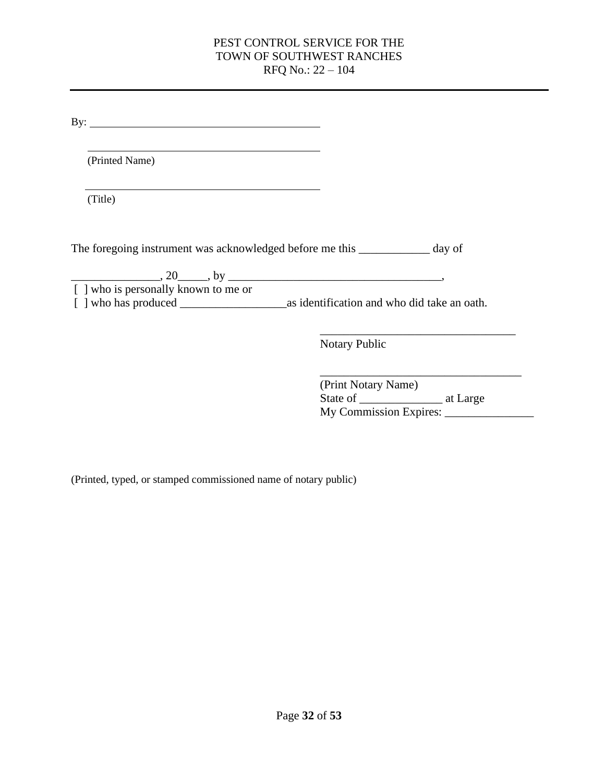By:

(Printed Name)

(Title)

The foregoing instrument was acknowledged before me this \_\_\_\_\_\_\_\_\_\_\_\_ day of

 $20 \qquad \qquad$ , 20  $\qquad \qquad$ , by  $\qquad \qquad$ , [ ] who is personally known to me or [ ] who has produced \_\_\_\_\_\_\_\_\_\_\_\_\_\_\_\_\_\_as identification and who did take an oath.

> \_\_\_\_\_\_\_\_\_\_\_\_\_\_\_\_\_\_\_\_\_\_\_\_\_\_\_\_\_\_\_\_\_ Notary Public

| (Print Notary Name)    |          |
|------------------------|----------|
| State of               | at Large |
| My Commission Expires: |          |

(Printed, typed, or stamped commissioned name of notary public)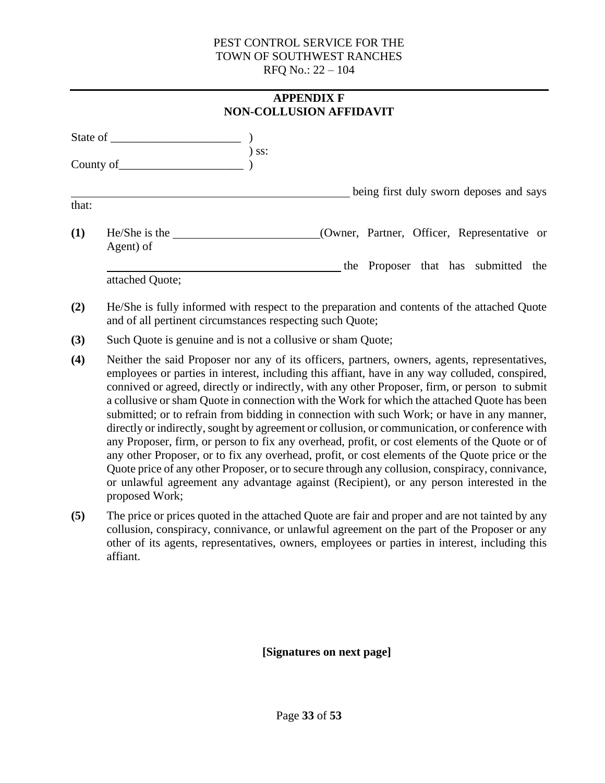<span id="page-32-0"></span>

|       | <b>APPENDIX F</b><br><b>NON-COLLUSION AFFIDAVIT</b> |         |                                             |  |  |
|-------|-----------------------------------------------------|---------|---------------------------------------------|--|--|
|       |                                                     | $)$ ss: |                                             |  |  |
|       |                                                     |         |                                             |  |  |
| that: |                                                     |         | being first duly sworn deposes and says     |  |  |
| (1)   | $He/She$ is the<br>Agent) of                        |         | (Owner, Partner, Officer, Representative or |  |  |
|       | attached Quote;                                     |         | the Proposer that has submitted the         |  |  |

- **(2)** He/She is fully informed with respect to the preparation and contents of the attached Quote and of all pertinent circumstances respecting such Quote;
- **(3)** Such Quote is genuine and is not a collusive or sham Quote;
- **(4)** Neither the said Proposer nor any of its officers, partners, owners, agents, representatives, employees or parties in interest, including this affiant, have in any way colluded, conspired, connived or agreed, directly or indirectly, with any other Proposer, firm, or person to submit a collusive or sham Quote in connection with the Work for which the attached Quote has been submitted; or to refrain from bidding in connection with such Work; or have in any manner, directly or indirectly, sought by agreement or collusion, or communication, or conference with any Proposer, firm, or person to fix any overhead, profit, or cost elements of the Quote or of any other Proposer, or to fix any overhead, profit, or cost elements of the Quote price or the Quote price of any other Proposer, or to secure through any collusion, conspiracy, connivance, or unlawful agreement any advantage against (Recipient), or any person interested in the proposed Work;
- **(5)** The price or prices quoted in the attached Quote are fair and proper and are not tainted by any collusion, conspiracy, connivance, or unlawful agreement on the part of the Proposer or any other of its agents, representatives, owners, employees or parties in interest, including this affiant.

**[Signatures on next page]**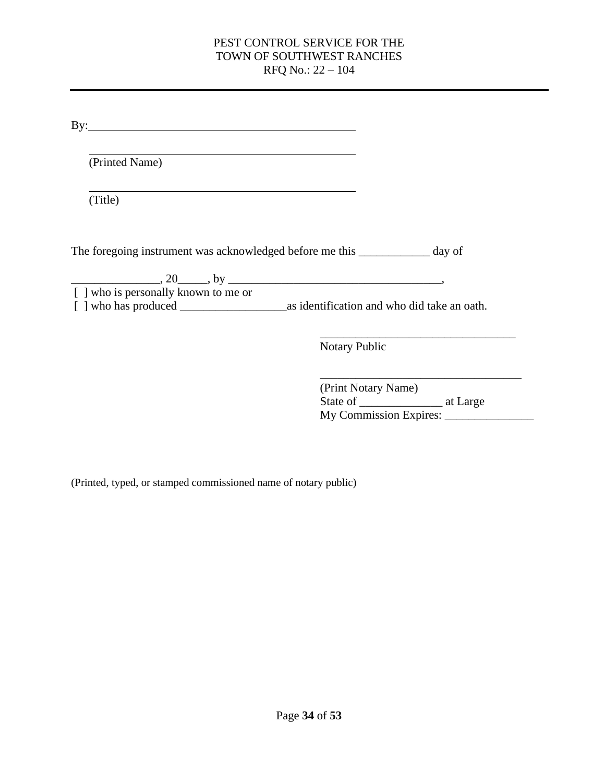| (Printed Name)                       |                                                                              |
|--------------------------------------|------------------------------------------------------------------------------|
|                                      |                                                                              |
| (Title)                              |                                                                              |
|                                      |                                                                              |
|                                      |                                                                              |
|                                      |                                                                              |
|                                      | The foregoing instrument was acknowledged before me this ____________ day of |
|                                      | $\frac{1}{20}$ , 20 and by $\frac{1}{20}$ , by $\frac{1}{20}$                |
| [ ] who is personally known to me or |                                                                              |
|                                      |                                                                              |

| (Print Notary Name)    |          |  |
|------------------------|----------|--|
| State of               | at Large |  |
| My Commission Expires: |          |  |

(Printed, typed, or stamped commissioned name of notary public)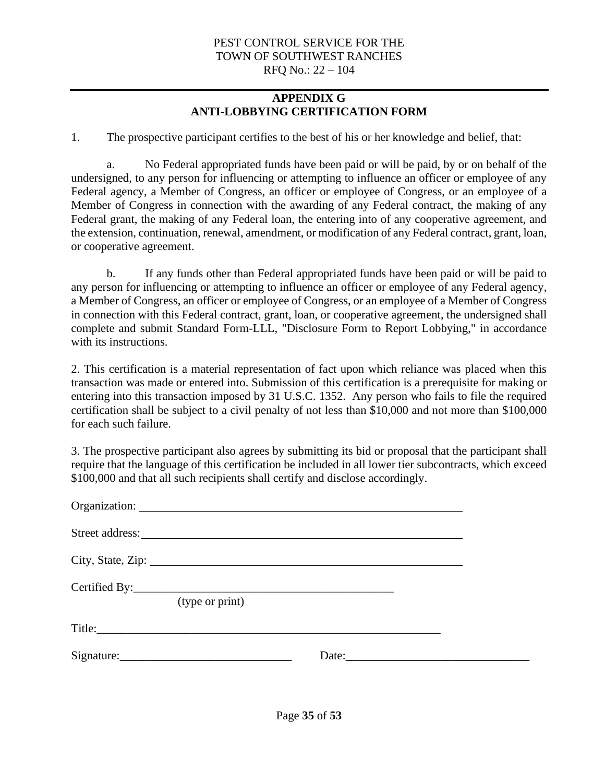# **APPENDIX G ANTI-LOBBYING CERTIFICATION FORM**

<span id="page-34-0"></span>1. The prospective participant certifies to the best of his or her knowledge and belief, that:

a. No Federal appropriated funds have been paid or will be paid, by or on behalf of the undersigned, to any person for influencing or attempting to influence an officer or employee of any Federal agency, a Member of Congress, an officer or employee of Congress, or an employee of a Member of Congress in connection with the awarding of any Federal contract, the making of any Federal grant, the making of any Federal loan, the entering into of any cooperative agreement, and the extension, continuation, renewal, amendment, or modification of any Federal contract, grant, loan, or cooperative agreement.

b. If any funds other than Federal appropriated funds have been paid or will be paid to any person for influencing or attempting to influence an officer or employee of any Federal agency, a Member of Congress, an officer or employee of Congress, or an employee of a Member of Congress in connection with this Federal contract, grant, loan, or cooperative agreement, the undersigned shall complete and submit Standard Form-LLL, "Disclosure Form to Report Lobbying," in accordance with its instructions.

2. This certification is a material representation of fact upon which reliance was placed when this transaction was made or entered into. Submission of this certification is a prerequisite for making or entering into this transaction imposed by 31 U.S.C. 1352. Any person who fails to file the required certification shall be subject to a civil penalty of not less than \$10,000 and not more than \$100,000 for each such failure.

3. The prospective participant also agrees by submitting its bid or proposal that the participant shall require that the language of this certification be included in all lower tier subcontracts, which exceed \$100,000 and that all such recipients shall certify and disclose accordingly.

|                           | (type or print) |                                                                                                                                                                                                                                      |  |
|---------------------------|-----------------|--------------------------------------------------------------------------------------------------------------------------------------------------------------------------------------------------------------------------------------|--|
|                           |                 |                                                                                                                                                                                                                                      |  |
| $Sigma$ : $\qquad \qquad$ |                 | Date: <u>International Contract of the set of the set of the set of the set of the set of the set of the set of the set of the set of the set of the set of the set of the set of the set of the set of the set of the set of th</u> |  |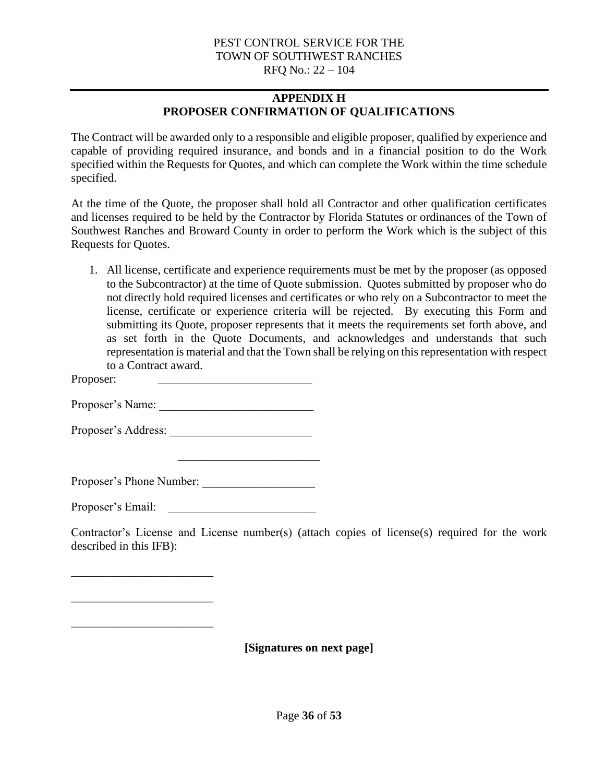# **APPENDIX H PROPOSER CONFIRMATION OF QUALIFICATIONS**

<span id="page-35-0"></span>The Contract will be awarded only to a responsible and eligible proposer, qualified by experience and capable of providing required insurance, and bonds and in a financial position to do the Work specified within the Requests for Quotes, and which can complete the Work within the time schedule specified.

At the time of the Quote, the proposer shall hold all Contractor and other qualification certificates and licenses required to be held by the Contractor by Florida Statutes or ordinances of the Town of Southwest Ranches and Broward County in order to perform the Work which is the subject of this Requests for Quotes.

1. All license, certificate and experience requirements must be met by the proposer (as opposed to the Subcontractor) at the time of Quote submission. Quotes submitted by proposer who do not directly hold required licenses and certificates or who rely on a Subcontractor to meet the license, certificate or experience criteria will be rejected. By executing this Form and submitting its Quote, proposer represents that it meets the requirements set forth above, and as set forth in the Quote Documents, and acknowledges and understands that such representation is material and that the Town shall be relying on this representation with respect to a Contract award.

Proposer:

Proposer's Name:

Proposer's Address: \_\_\_\_\_\_\_\_\_\_\_\_\_\_\_\_\_\_\_\_\_\_\_\_

Proposer's Phone Number: \_\_\_\_\_\_\_\_\_\_\_\_\_\_\_\_\_\_\_

\_\_\_\_\_\_\_\_\_\_\_\_\_\_\_\_\_\_\_\_\_\_\_\_

Proposer's Email:

\_\_\_\_\_\_\_\_\_\_\_\_\_\_\_\_\_\_\_\_\_\_\_\_

\_\_\_\_\_\_\_\_\_\_\_\_\_\_\_\_\_\_\_\_\_\_\_\_

\_\_\_\_\_\_\_\_\_\_\_\_\_\_\_\_\_\_\_\_\_\_\_\_

Contractor's License and License number(s) (attach copies of license(s) required for the work described in this IFB):

**[Signatures on next page]**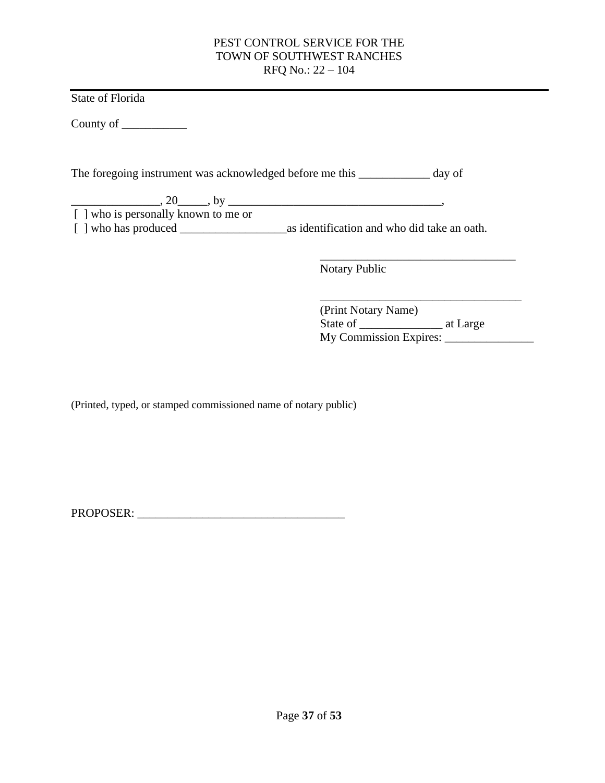State of Florida

County of \_\_\_\_\_\_\_\_\_\_\_

The foregoing instrument was acknowledged before me this \_\_\_\_\_\_\_\_\_\_\_\_ day of

 $20 \qquad \qquad$ , 20  $\qquad \qquad$ , by  $\qquad \qquad$ 

 $\sqrt{\frac{1}{2}}$  who is personally known to me or [ ] who has produced \_\_\_\_\_\_\_\_\_\_\_\_\_\_\_\_\_\_as identification and who did take an oath.

Notary Public

\_\_\_\_\_\_\_\_\_\_\_\_\_\_\_\_\_\_\_\_\_\_\_\_\_\_\_\_\_\_\_\_\_\_ (Print Notary Name) State of \_\_\_\_\_\_\_\_\_\_\_\_\_\_ at Large My Commission Expires: \_\_\_\_\_\_\_\_\_\_\_\_\_\_\_

\_\_\_\_\_\_\_\_\_\_\_\_\_\_\_\_\_\_\_\_\_\_\_\_\_\_\_\_\_\_\_\_\_

(Printed, typed, or stamped commissioned name of notary public)

PROPOSER: \_\_\_\_\_\_\_\_\_\_\_\_\_\_\_\_\_\_\_\_\_\_\_\_\_\_\_\_\_\_\_\_\_\_\_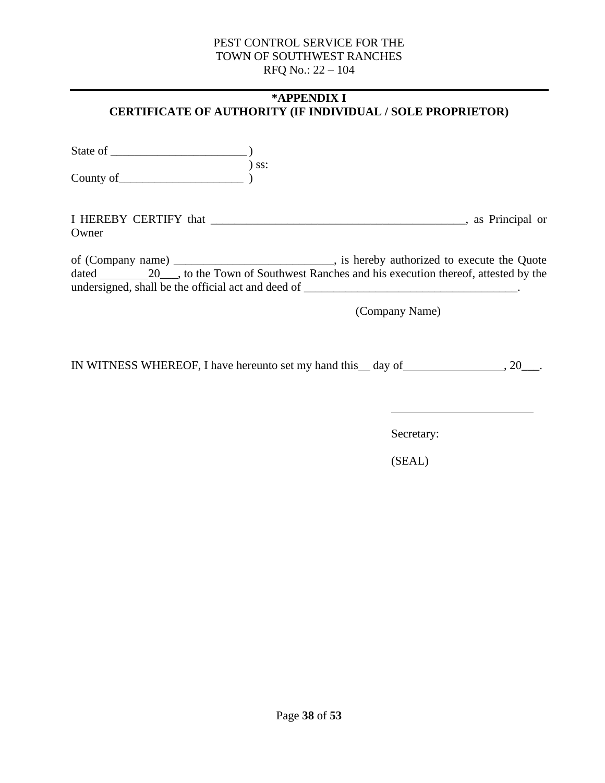## <span id="page-37-0"></span>**\*APPENDIX I CERTIFICATE OF AUTHORITY (IF INDIVIDUAL / SOLE PROPRIETOR)**

State of \_\_\_\_\_\_\_\_\_\_\_\_\_\_\_\_\_\_\_\_\_\_\_ ) ) ss: County of  $\overline{\qquad}$  )

I HEREBY CERTIFY that \_\_\_\_\_\_\_\_\_\_\_\_\_\_\_\_\_\_\_\_\_\_\_\_\_\_\_\_\_\_\_\_\_\_\_\_\_\_\_\_\_\_\_, as Principal or **Owner** 

of (Company name) \_\_\_\_\_\_\_\_\_\_\_\_\_\_\_\_\_\_\_\_\_\_\_\_\_\_\_, is hereby authorized to execute the Quote dated 20\_\_\_, to the Town of Southwest Ranches and his execution thereof, attested by the undersigned, shall be the official act and deed of \_\_\_\_\_\_\_\_\_\_\_\_\_\_\_\_\_\_\_\_\_\_\_\_\_\_\_\_\_\_\_\_\_\_\_\_.

(Company Name)

IN WITNESS WHEREOF, I have hereunto set my hand this day of , 20\_\_\_.

Secretary:

(SEAL)

Page **38** of **53**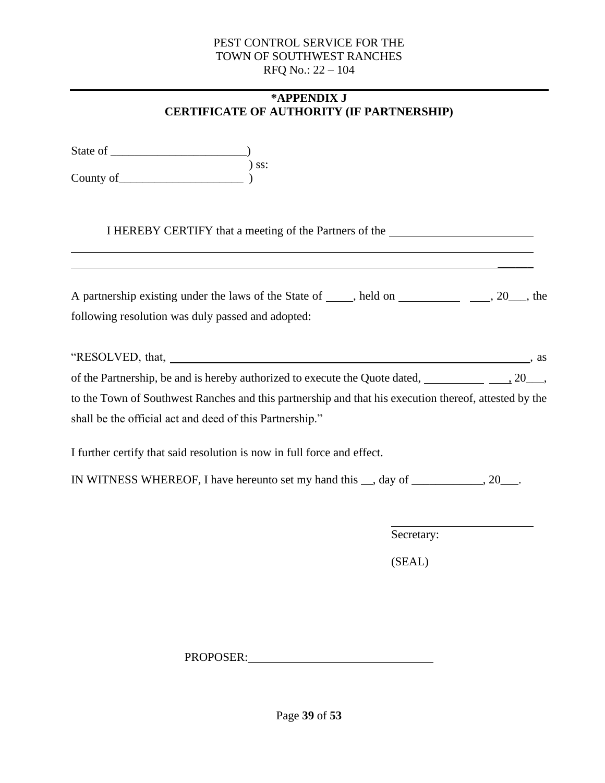# **\*APPENDIX J CERTIFICATE OF AUTHORITY (IF PARTNERSHIP)**

<span id="page-38-0"></span>

| I HEREBY CERTIFY that a meeting of the Partners of the<br><u> 1989 - Johann Stoff, deutscher Stoffen und der Stoffen und der Stoffen und der Stoffen und der Stoffen und d</u><br><u> 1989 - Andrea Santa Andrea Santa Andrea Santa Andrea Santa Andrea Santa Andrea Santa Andrea Santa Andrea San</u> |
|--------------------------------------------------------------------------------------------------------------------------------------------------------------------------------------------------------------------------------------------------------------------------------------------------------|
| A partnership existing under the laws of the State of _____, held on __________________, 20___, the<br>following resolution was duly passed and adopted:                                                                                                                                               |
|                                                                                                                                                                                                                                                                                                        |
|                                                                                                                                                                                                                                                                                                        |
|                                                                                                                                                                                                                                                                                                        |
| to the Town of Southwest Ranches and this partnership and that his execution thereof, attested by the                                                                                                                                                                                                  |
| shall be the official act and deed of this Partnership."                                                                                                                                                                                                                                               |
| I further certify that said resolution is now in full force and effect.                                                                                                                                                                                                                                |
| IN WITNESS WHEREOF, I have hereunto set my hand this __, day of ___________, 20___.                                                                                                                                                                                                                    |
|                                                                                                                                                                                                                                                                                                        |
| Secretary:                                                                                                                                                                                                                                                                                             |

(SEAL)

PROPOSER: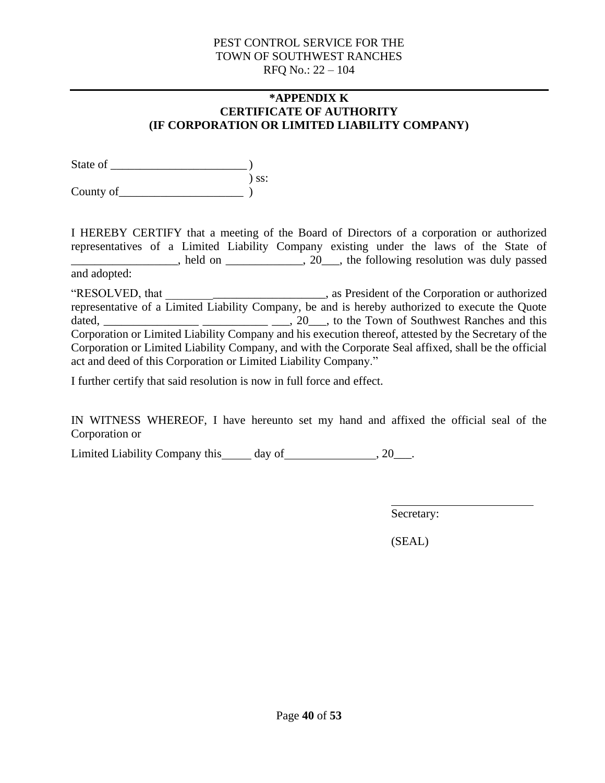#### **\*APPENDIX K CERTIFICATE OF AUTHORITY (IF CORPORATION OR LIMITED LIABILITY COMPANY)**

<span id="page-39-0"></span>State of  $\qquad \qquad$  $\sum$  ss: County of  $\qquad \qquad$ 

I HEREBY CERTIFY that a meeting of the Board of Directors of a corporation or authorized representatives of a Limited Liability Company existing under the laws of the State of \_\_\_\_\_\_\_\_\_\_\_\_\_\_\_\_\_\_, held on \_\_\_\_\_\_\_\_\_\_\_\_\_, 20\_\_\_, the following resolution was duly passed and adopted:

"RESOLVED, that \_\_\_\_\_\_\_\_\_\_\_\_\_\_\_\_\_\_\_\_\_\_\_\_\_\_\_, as President of the Corporation or authorized representative of a Limited Liability Company, be and is hereby authorized to execute the Quote dated, \_\_\_\_\_\_\_\_\_\_\_\_\_\_\_\_ \_\_\_\_\_\_\_\_\_\_\_ \_\_\_, 20\_\_\_, to the Town of Southwest Ranches and this Corporation or Limited Liability Company and his execution thereof, attested by the Secretary of the Corporation or Limited Liability Company, and with the Corporate Seal affixed, shall be the official act and deed of this Corporation or Limited Liability Company."

I further certify that said resolution is now in full force and effect.

IN WITNESS WHEREOF, I have hereunto set my hand and affixed the official seal of the Corporation or

Limited Liability Company this day of , 20\_\_\_.

Secretary:

(SEAL)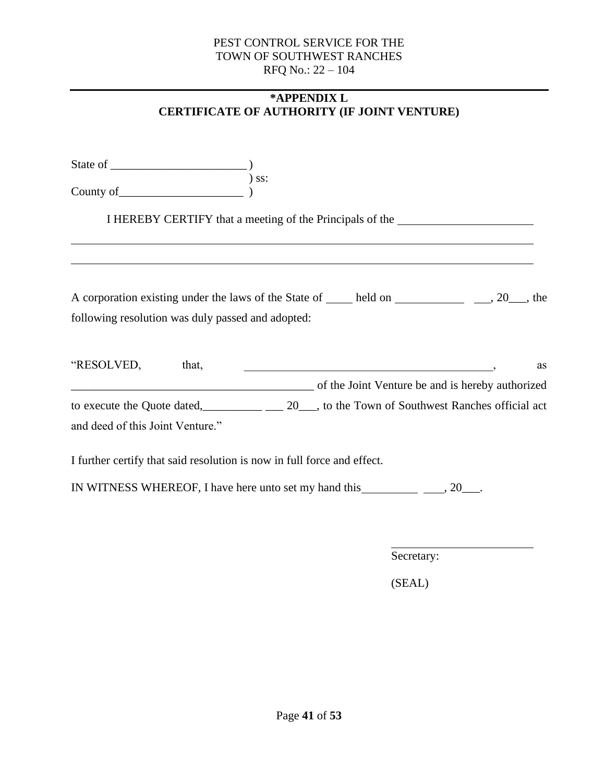# **\*APPENDIX L CERTIFICATE OF AUTHORITY (IF JOINT VENTURE)**

<span id="page-40-0"></span>

| County of                                                                                                                                                                                                                                                                                     | $)$ ss:                                                                                                                |  |    |
|-----------------------------------------------------------------------------------------------------------------------------------------------------------------------------------------------------------------------------------------------------------------------------------------------|------------------------------------------------------------------------------------------------------------------------|--|----|
|                                                                                                                                                                                                                                                                                               | I HEREBY CERTIFY that a meeting of the Principals of the _______________________                                       |  |    |
|                                                                                                                                                                                                                                                                                               |                                                                                                                        |  |    |
| A corporation existing under the laws of the State of <u>each held</u> on each metal and a corporation existing under the laws of the State of <u>each</u> held on each metal and a state of each of the state of the state of the state<br>following resolution was duly passed and adopted: |                                                                                                                        |  |    |
| "RESOLVED, that,<br>of the Joint Venture be and is hereby authorized                                                                                                                                                                                                                          | <u> 1988 - Johann Stoff, deutscher Stoffen und der Stoffen und der Stoffen und der Stoffen und der Stoffen und der</u> |  | as |
| to execute the Quote dated, 20, to the Town of Southwest Ranches official act<br>and deed of this Joint Venture."                                                                                                                                                                             |                                                                                                                        |  |    |
| I further certify that said resolution is now in full force and effect.                                                                                                                                                                                                                       |                                                                                                                        |  |    |
|                                                                                                                                                                                                                                                                                               |                                                                                                                        |  |    |

Secretary:

(SEAL)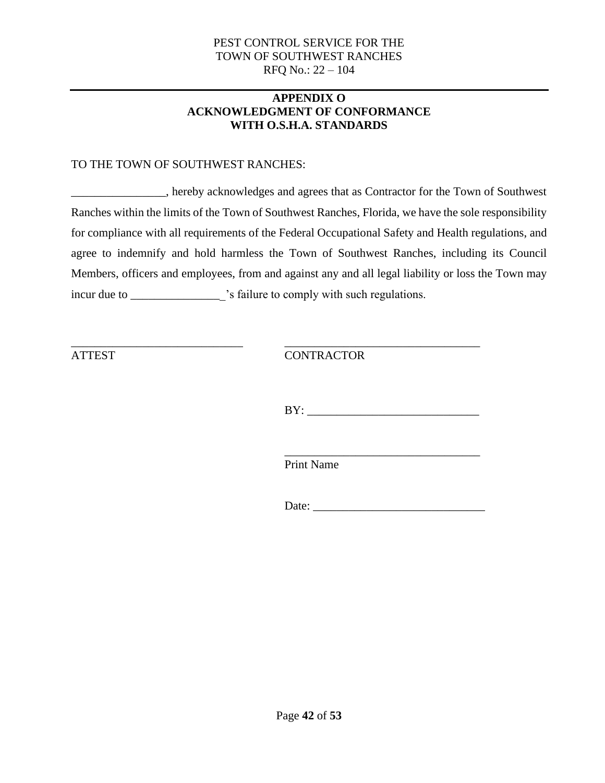## **APPENDIX O ACKNOWLEDGMENT OF CONFORMANCE WITH O.S.H.A. STANDARDS**

## <span id="page-41-0"></span>TO THE TOWN OF SOUTHWEST RANCHES:

\_\_\_\_\_\_\_\_\_\_\_\_\_\_\_\_, hereby acknowledges and agrees that as Contractor for the Town of Southwest Ranches within the limits of the Town of Southwest Ranches, Florida, we have the sole responsibility for compliance with all requirements of the Federal Occupational Safety and Health regulations, and agree to indemnify and hold harmless the Town of Southwest Ranches, including its Council Members, officers and employees, from and against any and all legal liability or loss the Town may incur due to \_\_\_\_\_\_\_\_\_\_\_\_\_\_\_\_\_\_\_\_\_'s failure to comply with such regulations.

\_\_\_\_\_\_\_\_\_\_\_\_\_\_\_\_\_\_\_\_\_\_\_\_\_\_\_\_\_ \_\_\_\_\_\_\_\_\_\_\_\_\_\_\_\_\_\_\_\_\_\_\_\_\_\_\_\_\_\_\_\_\_ ATTEST CONTRACTOR

 $BY:$ 

\_\_\_\_\_\_\_\_\_\_\_\_\_\_\_\_\_\_\_\_\_\_\_\_\_\_\_\_\_\_\_\_\_ Print Name

Date: \_\_\_\_\_\_\_\_\_\_\_\_\_\_\_\_\_\_\_\_\_\_\_\_\_\_\_\_\_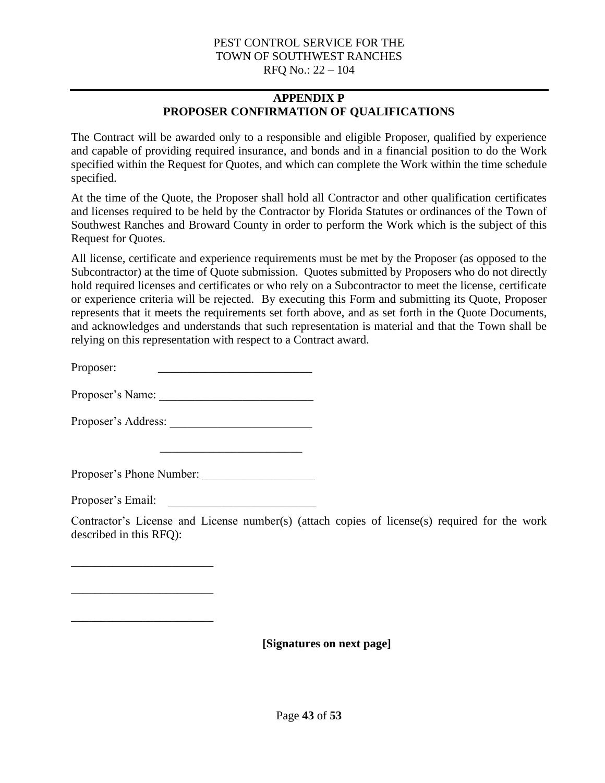# **APPENDIX P PROPOSER CONFIRMATION OF QUALIFICATIONS**

<span id="page-42-0"></span>The Contract will be awarded only to a responsible and eligible Proposer, qualified by experience and capable of providing required insurance, and bonds and in a financial position to do the Work specified within the Request for Quotes, and which can complete the Work within the time schedule specified.

At the time of the Quote, the Proposer shall hold all Contractor and other qualification certificates and licenses required to be held by the Contractor by Florida Statutes or ordinances of the Town of Southwest Ranches and Broward County in order to perform the Work which is the subject of this Request for Quotes.

All license, certificate and experience requirements must be met by the Proposer (as opposed to the Subcontractor) at the time of Quote submission. Quotes submitted by Proposers who do not directly hold required licenses and certificates or who rely on a Subcontractor to meet the license, certificate or experience criteria will be rejected. By executing this Form and submitting its Quote, Proposer represents that it meets the requirements set forth above, and as set forth in the Quote Documents, and acknowledges and understands that such representation is material and that the Town shall be relying on this representation with respect to a Contract award.

Proposer: \_\_\_\_\_\_\_\_\_\_\_\_\_\_\_\_\_\_\_\_\_\_\_\_\_\_

Proposer's Name: \_\_\_\_\_\_\_\_\_\_\_\_\_\_\_\_\_\_\_\_\_\_\_\_\_\_

Proposer's Address: \_\_\_\_\_\_\_\_\_\_\_\_\_\_\_\_\_\_\_\_\_\_\_\_

Proposer's Phone Number:

\_\_\_\_\_\_\_\_\_\_\_\_\_\_\_\_\_\_\_\_\_\_\_\_

Proposer's Email:

\_\_\_\_\_\_\_\_\_\_\_\_\_\_\_\_\_\_\_\_\_\_\_\_

\_\_\_\_\_\_\_\_\_\_\_\_\_\_\_\_\_\_\_\_\_\_\_\_

\_\_\_\_\_\_\_\_\_\_\_\_\_\_\_\_\_\_\_\_\_\_\_\_

Contractor's License and License number(s) (attach copies of license(s) required for the work described in this RFQ):

**[Signatures on next page]**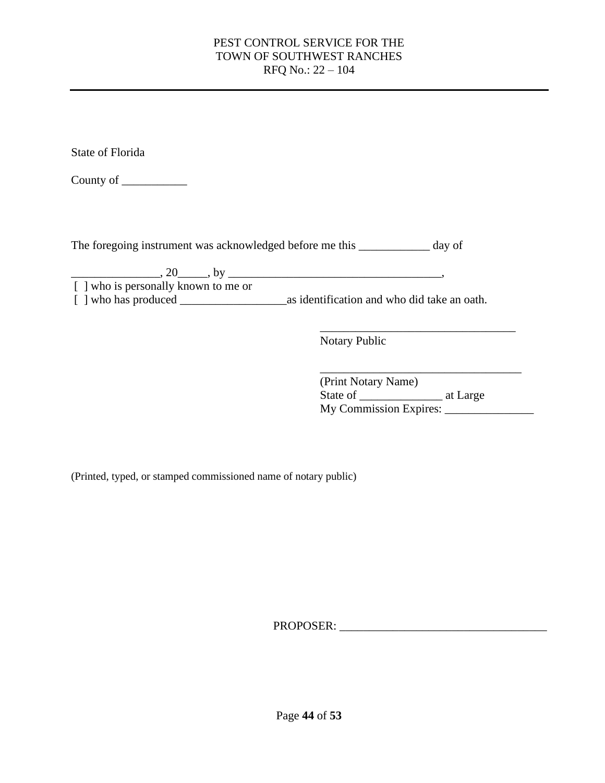State of Florida

County of \_\_\_\_\_\_\_\_\_\_\_

The foregoing instrument was acknowledged before me this \_\_\_\_\_\_\_\_\_\_\_\_ day of

 $\frac{1}{20}$ , 20  $\frac{1}{20}$ , by  $\frac{1}{20}$ [ ] who is personally known to me or [ ] who has produced \_\_\_\_\_\_\_\_\_\_\_\_\_\_\_\_\_\_as identification and who did take an oath.

Notary Public

| (Print Notary Name)    |          |
|------------------------|----------|
| State of               | at Large |
| My Commission Expires: |          |

\_\_\_\_\_\_\_\_\_\_\_\_\_\_\_\_\_\_\_\_\_\_\_\_\_\_\_\_\_\_\_\_\_

(Printed, typed, or stamped commissioned name of notary public)

PROPOSER: \_\_\_\_\_\_\_\_\_\_\_\_\_\_\_\_\_\_\_\_\_\_\_\_\_\_\_\_\_\_\_\_\_\_\_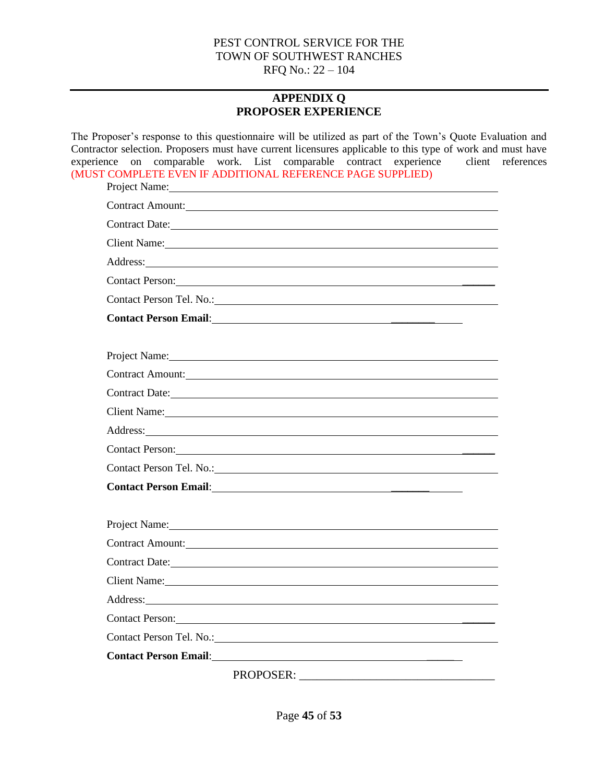# **APPENDIX Q PROPOSER EXPERIENCE**

<span id="page-44-0"></span>The Proposer's response to this questionnaire will be utilized as part of the Town's Quote Evaluation and Contractor selection. Proposers must have current licensures applicable to this type of work and must have experience on comparable work. List comparable contract experience client references (MUST COMPLETE EVEN IF ADDITIONAL REFERENCE PAGE SUPPLIED)

| Project Name: Name and the second contract of the second contract of the second contract of the second contract of the second contract of the second contract of the second contract of the second contract of the second cont      |
|-------------------------------------------------------------------------------------------------------------------------------------------------------------------------------------------------------------------------------------|
| Contract Amount: New York Contract Amount:                                                                                                                                                                                          |
| Contract Date: Note:                                                                                                                                                                                                                |
| Client Name: Name:                                                                                                                                                                                                                  |
| Address: Note that the contract of the contract of the contract of the contract of the contract of the contract of the contract of the contract of the contract of the contract of the contract of the contract of the contrac      |
| Contact Person: New York Contact Person:                                                                                                                                                                                            |
|                                                                                                                                                                                                                                     |
| Contact Person Email: 1998 and 2008 and 2008 and 2008 and 2008 and 2008 and 2008 and 2008 and 2008 and 2008 and 2008 and 2008 and 2008 and 2008 and 2008 and 2008 and 2008 and 2008 and 2008 and 2008 and 2008 and 2008 and 20      |
|                                                                                                                                                                                                                                     |
| Project Name: 1000 million and the contract of the contract of the contract of the contract of the contract of the contract of the contract of the contract of the contract of the contract of the contract of the contract of      |
| Contract Amount:                                                                                                                                                                                                                    |
| Contract Date:                                                                                                                                                                                                                      |
| Client Name: Client Name:                                                                                                                                                                                                           |
| Address: <u>Address:</u> Address: Address: Address: Address: Address: Address: Address: Address: Address: Address: Address: Address: Address: Address: Address: Address: Address: Address: Address: Address: Address: Address: Addr |
| Contact Person:                                                                                                                                                                                                                     |
|                                                                                                                                                                                                                                     |
| Contact Person Email: <u>Alexander School Contact Person Email:</u>                                                                                                                                                                 |
|                                                                                                                                                                                                                                     |
| Project Name: Name and the state of the state of the state of the state of the state of the state of the state of the state of the state of the state of the state of the state of the state of the state of the state of the       |
| Contract Amount:                                                                                                                                                                                                                    |
|                                                                                                                                                                                                                                     |
| Client Name: Name and Solid Client Name and Solid Client Name and Solid Client Name and Solid Client Name and Solid Client Name and Solid Client Name and Solid Client Name and Solid Client Client Client Client Client Clien      |
| Address: National Address: National Address: National Address: National Address: National Address: National Address: National Address: National Address: National Address: National Address: National Address: National Addres      |
| Contact Person: 2008. Contact Person:                                                                                                                                                                                               |
| Contact Person Tel. No.: No.:                                                                                                                                                                                                       |
|                                                                                                                                                                                                                                     |
|                                                                                                                                                                                                                                     |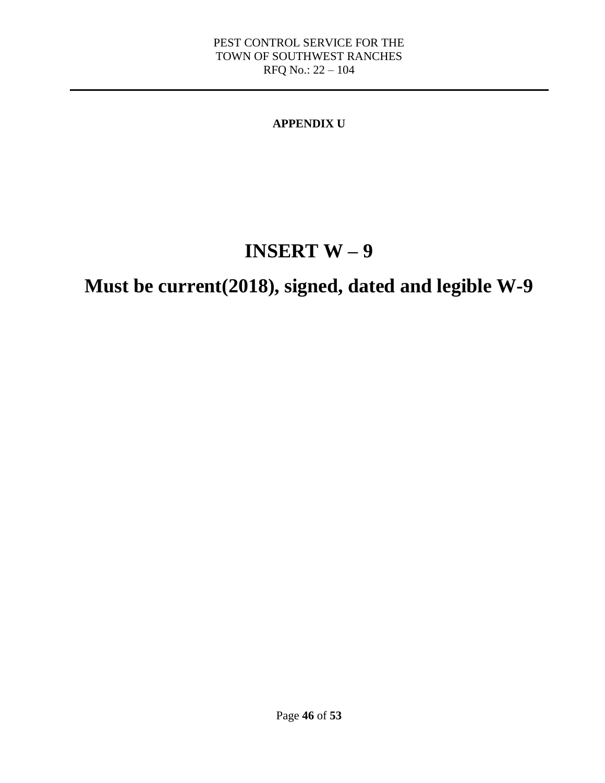# **APPENDIX U**

# **INSERT W – 9**

# <span id="page-45-0"></span>**Must be current(2018), signed, dated and legible W-9**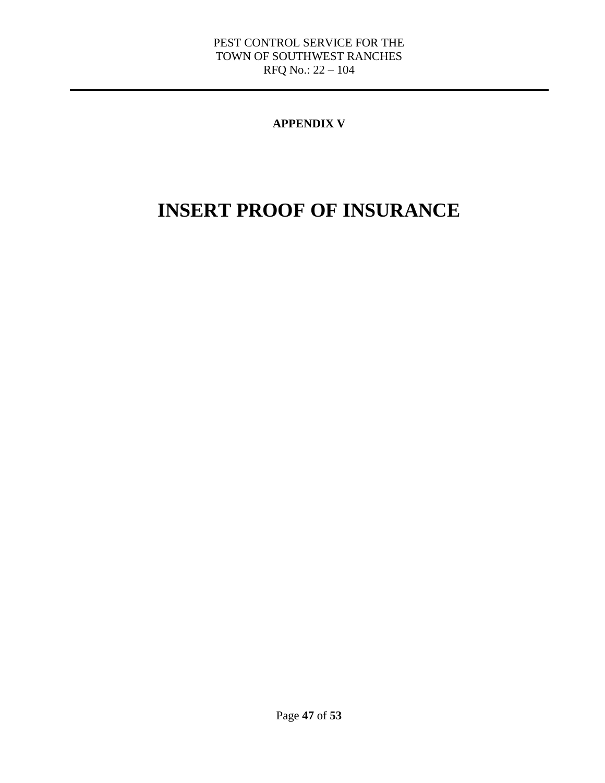# **APPENDIX V**

# <span id="page-46-0"></span>**INSERT PROOF OF INSURANCE**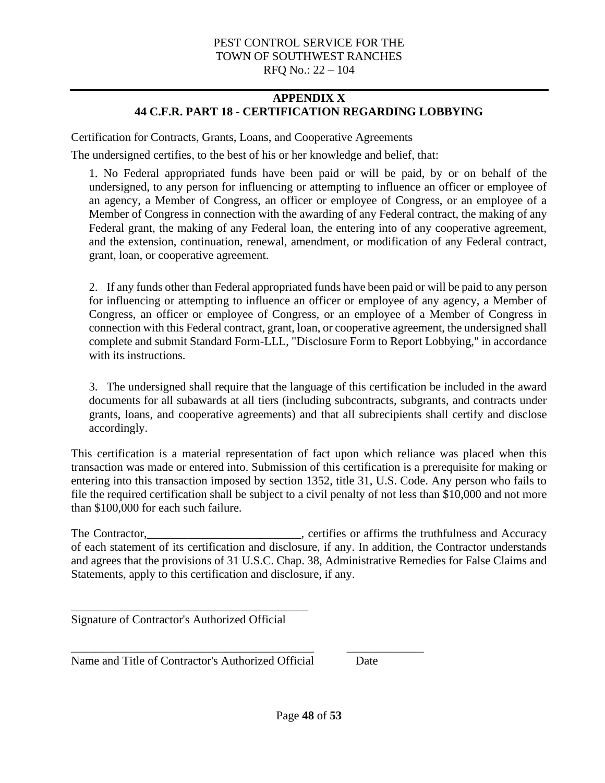# **APPENDIX X 44 C.F.R. PART 18 - CERTIFICATION REGARDING LOBBYING**

<span id="page-47-0"></span>Certification for Contracts, Grants, Loans, and Cooperative Agreements

The undersigned certifies, to the best of his or her knowledge and belief, that:

1. No Federal appropriated funds have been paid or will be paid, by or on behalf of the undersigned, to any person for influencing or attempting to influence an officer or employee of an agency, a Member of Congress, an officer or employee of Congress, or an employee of a Member of Congress in connection with the awarding of any Federal contract, the making of any Federal grant, the making of any Federal loan, the entering into of any cooperative agreement, and the extension, continuation, renewal, amendment, or modification of any Federal contract, grant, loan, or cooperative agreement.

2. If any funds other than Federal appropriated funds have been paid or will be paid to any person for influencing or attempting to influence an officer or employee of any agency, a Member of Congress, an officer or employee of Congress, or an employee of a Member of Congress in connection with this Federal contract, grant, loan, or cooperative agreement, the undersigned shall complete and submit Standard Form-LLL, "Disclosure Form to Report Lobbying," in accordance with its instructions.

3. The undersigned shall require that the language of this certification be included in the award documents for all subawards at all tiers (including subcontracts, subgrants, and contracts under grants, loans, and cooperative agreements) and that all subrecipients shall certify and disclose accordingly.

This certification is a material representation of fact upon which reliance was placed when this transaction was made or entered into. Submission of this certification is a prerequisite for making or entering into this transaction imposed by section 1352, title 31, U.S. Code. Any person who fails to file the required certification shall be subject to a civil penalty of not less than \$10,000 and not more than \$100,000 for each such failure.

The Contractor, The Contractor, European Contractor, Contractor, Contractor, Contractor, Contractor, Contractor, Contractor, Contractor, Contractor, Contractor, Contractor, Contractor, Contractor, Contractor, Contractor, C of each statement of its certification and disclosure, if any. In addition, the Contractor understands and agrees that the provisions of 31 U.S.C. Chap. 38, Administrative Remedies for False Claims and Statements, apply to this certification and disclosure, if any.

Signature of Contractor's Authorized Official

\_\_\_\_\_\_\_\_\_\_\_\_\_\_\_\_\_\_\_\_\_\_\_\_\_\_\_\_\_\_\_\_\_\_\_\_\_\_\_\_

Name and Title of Contractor's Authorized Official Date

\_\_\_\_\_\_\_\_\_\_\_\_\_\_\_\_\_\_\_\_\_\_\_\_\_\_\_\_\_\_\_\_\_\_\_\_\_\_\_\_\_ \_\_\_\_\_\_\_\_\_\_\_\_\_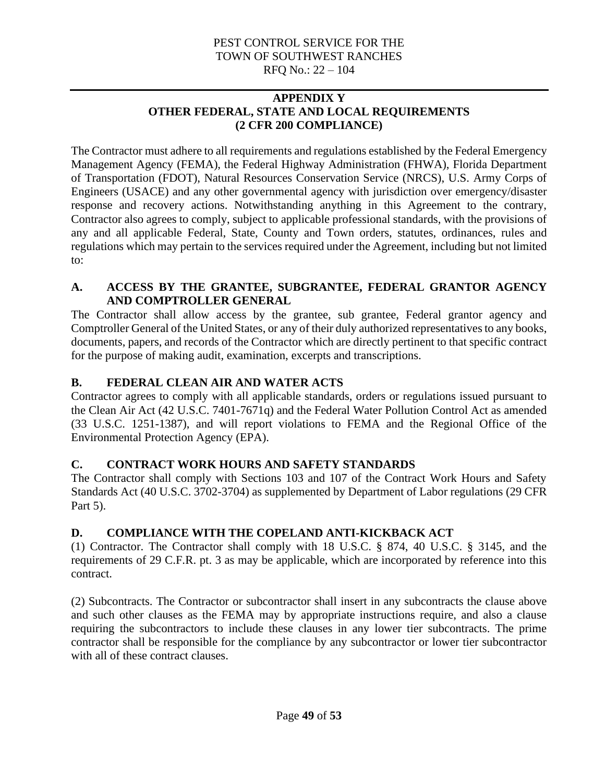## **APPENDIX Y OTHER FEDERAL, STATE AND LOCAL REQUIREMENTS (2 CFR 200 COMPLIANCE)**

<span id="page-48-0"></span>The Contractor must adhere to all requirements and regulations established by the Federal Emergency Management Agency (FEMA), the Federal Highway Administration (FHWA), Florida Department of Transportation (FDOT), Natural Resources Conservation Service (NRCS), U.S. Army Corps of Engineers (USACE) and any other governmental agency with jurisdiction over emergency/disaster response and recovery actions. Notwithstanding anything in this Agreement to the contrary, Contractor also agrees to comply, subject to applicable professional standards, with the provisions of any and all applicable Federal, State, County and Town orders, statutes, ordinances, rules and regulations which may pertain to the services required under the Agreement, including but not limited to:

# **A. ACCESS BY THE GRANTEE, SUBGRANTEE, FEDERAL GRANTOR AGENCY AND COMPTROLLER GENERAL**

The Contractor shall allow access by the grantee, sub grantee, Federal grantor agency and Comptroller General of the United States, or any of their duly authorized representatives to any books, documents, papers, and records of the Contractor which are directly pertinent to that specific contract for the purpose of making audit, examination, excerpts and transcriptions.

# **B. FEDERAL CLEAN AIR AND WATER ACTS**

Contractor agrees to comply with all applicable standards, orders or regulations issued pursuant to the Clean Air Act (42 U.S.C. 7401-7671q) and the Federal Water Pollution Control Act as amended (33 U.S.C. 1251-1387), and will report violations to FEMA and the Regional Office of the Environmental Protection Agency (EPA).

# **C. CONTRACT WORK HOURS AND SAFETY STANDARDS**

The Contractor shall comply with Sections 103 and 107 of the Contract Work Hours and Safety Standards Act (40 U.S.C. 3702-3704) as supplemented by Department of Labor regulations (29 CFR Part 5).

# **D. COMPLIANCE WITH THE COPELAND ANTI-KICKBACK ACT**

(1) Contractor. The Contractor shall comply with 18 U.S.C. § 874, 40 U.S.C. § 3145, and the requirements of 29 C.F.R. pt. 3 as may be applicable, which are incorporated by reference into this contract.

(2) Subcontracts. The Contractor or subcontractor shall insert in any subcontracts the clause above and such other clauses as the FEMA may by appropriate instructions require, and also a clause requiring the subcontractors to include these clauses in any lower tier subcontracts. The prime contractor shall be responsible for the compliance by any subcontractor or lower tier subcontractor with all of these contract clauses.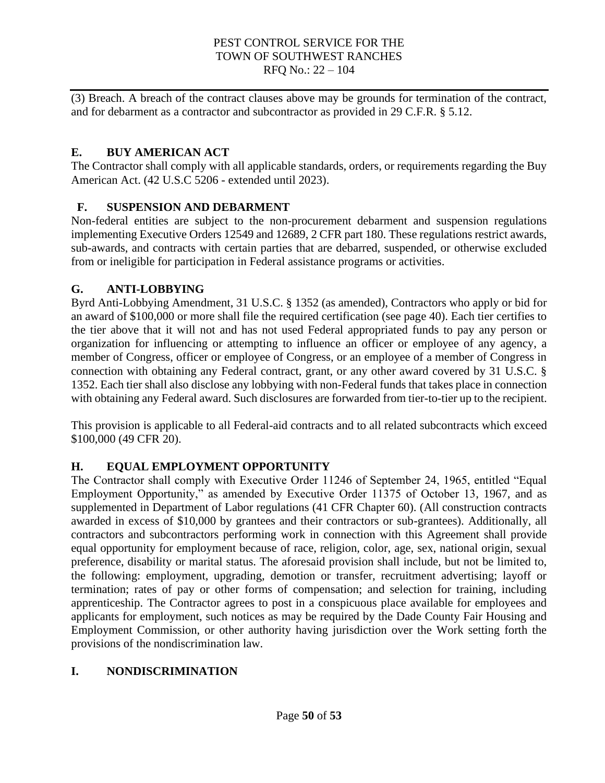(3) Breach. A breach of the contract clauses above may be grounds for termination of the contract, and for debarment as a contractor and subcontractor as provided in 29 C.F.R. § 5.12.

# **E. BUY AMERICAN ACT**

The Contractor shall comply with all applicable standards, orders, or requirements regarding the Buy American Act. (42 U.S.C 5206 - extended until 2023).

# **F. SUSPENSION AND DEBARMENT**

Non-federal entities are subject to the non-procurement debarment and suspension regulations implementing Executive Orders 12549 and 12689, 2 CFR part 180. These regulations restrict awards, sub-awards, and contracts with certain parties that are debarred, suspended, or otherwise excluded from or ineligible for participation in Federal assistance programs or activities.

# **G. ANTI-LOBBYING**

Byrd Anti-Lobbying Amendment, 31 U.S.C. § 1352 (as amended), Contractors who apply or bid for an award of \$100,000 or more shall file the required certification (see page 40). Each tier certifies to the tier above that it will not and has not used Federal appropriated funds to pay any person or organization for influencing or attempting to influence an officer or employee of any agency, a member of Congress, officer or employee of Congress, or an employee of a member of Congress in connection with obtaining any Federal contract, grant, or any other award covered by 31 U.S.C. § 1352. Each tier shall also disclose any lobbying with non-Federal funds that takes place in connection with obtaining any Federal award. Such disclosures are forwarded from tier-to-tier up to the recipient.

This provision is applicable to all Federal-aid contracts and to all related subcontracts which exceed \$100,000 (49 CFR 20).

# **H. EQUAL EMPLOYMENT OPPORTUNITY**

The Contractor shall comply with Executive Order 11246 of September 24, 1965, entitled "Equal Employment Opportunity," as amended by Executive Order 11375 of October 13, 1967, and as supplemented in Department of Labor regulations (41 CFR Chapter 60). (All construction contracts awarded in excess of \$10,000 by grantees and their contractors or sub-grantees). Additionally, all contractors and subcontractors performing work in connection with this Agreement shall provide equal opportunity for employment because of race, religion, color, age, sex, national origin, sexual preference, disability or marital status. The aforesaid provision shall include, but not be limited to, the following: employment, upgrading, demotion or transfer, recruitment advertising; layoff or termination; rates of pay or other forms of compensation; and selection for training, including apprenticeship. The Contractor agrees to post in a conspicuous place available for employees and applicants for employment, such notices as may be required by the Dade County Fair Housing and Employment Commission, or other authority having jurisdiction over the Work setting forth the provisions of the nondiscrimination law.

# **I. NONDISCRIMINATION**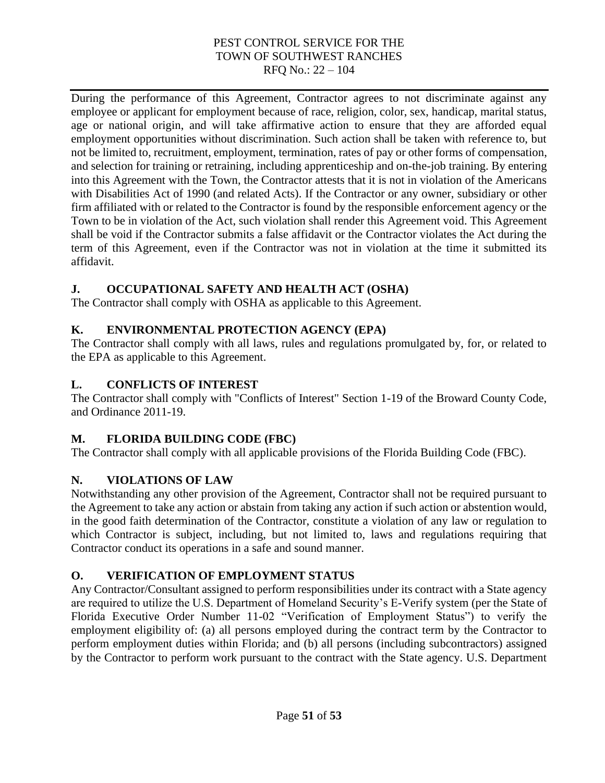During the performance of this Agreement, Contractor agrees to not discriminate against any employee or applicant for employment because of race, religion, color, sex, handicap, marital status, age or national origin, and will take affirmative action to ensure that they are afforded equal employment opportunities without discrimination. Such action shall be taken with reference to, but not be limited to, recruitment, employment, termination, rates of pay or other forms of compensation, and selection for training or retraining, including apprenticeship and on-the-job training. By entering into this Agreement with the Town, the Contractor attests that it is not in violation of the Americans with Disabilities Act of 1990 (and related Acts). If the Contractor or any owner, subsidiary or other firm affiliated with or related to the Contractor is found by the responsible enforcement agency or the Town to be in violation of the Act, such violation shall render this Agreement void. This Agreement shall be void if the Contractor submits a false affidavit or the Contractor violates the Act during the term of this Agreement, even if the Contractor was not in violation at the time it submitted its affidavit.

# **J. OCCUPATIONAL SAFETY AND HEALTH ACT (OSHA)**

The Contractor shall comply with OSHA as applicable to this Agreement.

# **K. ENVIRONMENTAL PROTECTION AGENCY (EPA)**

The Contractor shall comply with all laws, rules and regulations promulgated by, for, or related to the EPA as applicable to this Agreement.

# **L. CONFLICTS OF INTEREST**

The Contractor shall comply with "Conflicts of Interest" Section 1-19 of the Broward County Code, and Ordinance 2011-19.

# **M. FLORIDA BUILDING CODE (FBC)**

The Contractor shall comply with all applicable provisions of the Florida Building Code (FBC).

# **N. VIOLATIONS OF LAW**

Notwithstanding any other provision of the Agreement, Contractor shall not be required pursuant to the Agreement to take any action or abstain from taking any action if such action or abstention would, in the good faith determination of the Contractor, constitute a violation of any law or regulation to which Contractor is subject, including, but not limited to, laws and regulations requiring that Contractor conduct its operations in a safe and sound manner.

# **O. VERIFICATION OF EMPLOYMENT STATUS**

Any Contractor/Consultant assigned to perform responsibilities under its contract with a State agency are required to utilize the U.S. Department of Homeland Security's E-Verify system (per the State of Florida Executive Order Number 11-02 "Verification of Employment Status") to verify the employment eligibility of: (a) all persons employed during the contract term by the Contractor to perform employment duties within Florida; and (b) all persons (including subcontractors) assigned by the Contractor to perform work pursuant to the contract with the State agency. U.S. Department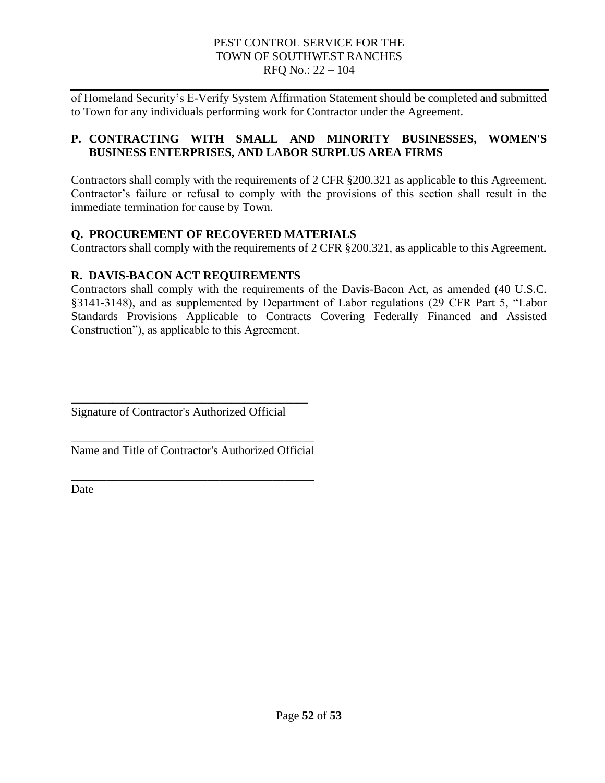of Homeland Security's E-Verify System Affirmation Statement should be completed and submitted to Town for any individuals performing work for Contractor under the Agreement.

# **P. CONTRACTING WITH SMALL AND MINORITY BUSINESSES, WOMEN'S BUSINESS ENTERPRISES, AND LABOR SURPLUS AREA FIRMS**

Contractors shall comply with the requirements of 2 CFR §200.321 as applicable to this Agreement. Contractor's failure or refusal to comply with the provisions of this section shall result in the immediate termination for cause by Town.

# **Q. PROCUREMENT OF RECOVERED MATERIALS**

Contractors shall comply with the requirements of 2 CFR §200.321, as applicable to this Agreement.

# **R. DAVIS-BACON ACT REQUIREMENTS**

Contractors shall comply with the requirements of the Davis-Bacon Act, as amended (40 U.S.C. §3141-3148), and as supplemented by Department of Labor regulations (29 CFR Part 5, "Labor Standards Provisions Applicable to Contracts Covering Federally Financed and Assisted Construction"), as applicable to this Agreement.

Signature of Contractor's Authorized Official

\_\_\_\_\_\_\_\_\_\_\_\_\_\_\_\_\_\_\_\_\_\_\_\_\_\_\_\_\_\_\_\_\_\_\_\_\_\_\_\_

\_\_\_\_\_\_\_\_\_\_\_\_\_\_\_\_\_\_\_\_\_\_\_\_\_\_\_\_\_\_\_\_\_\_\_\_\_\_\_\_\_ Name and Title of Contractor's Authorized Official

\_\_\_\_\_\_\_\_\_\_\_\_\_\_\_\_\_\_\_\_\_\_\_\_\_\_\_\_\_\_\_\_\_\_\_\_\_\_\_\_\_

Date